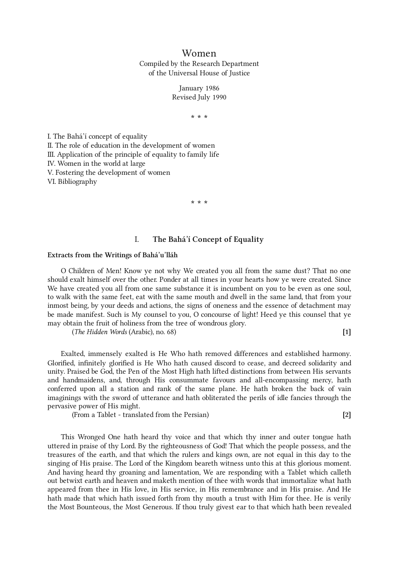# Women Compiled by the Research Department of the Universal House of Justice

# January 1986 Revised July 1990

\* \* \*

I. The Bahá'í concept of [equality](#page-0-0) II. The role of education in the [development](#page-9-0) of women III. [Application](#page-13-0) of the principle of equality to family life IV. [Women](#page-18-0) in the world at large V. Fostering the [development](#page-22-0) of women VI. [Bibliography](#page-29-0)

\* \* \*

# <span id="page-0-0"></span>I. The Bahá'í Concept of Equality

### Extracts from the Writings of Bahá'u'lláh

O Children of Men! Know ye not why We created you all from the same dust? That no one should exalt himself over the other. Ponder at all times in your hearts how ye were created. Since We have created you all from one same substance it is incumbent on you to be even as one soul, to walk with the same feet, eat with the same mouth and dwell in the same land, that from your inmost being, by your deeds and actions, the signs of oneness and the essence of detachment may be made manifest. Such is My counsel to you, O concourse of light! Heed ye this counsel that ye may obtain the fruit of holiness from the tree of wondrous glory.

(The Hidden Words (Arabic), no. 68) [1]

Exalted, immensely exalted is He Who hath removed differences and established harmony. Glorified, infinitely glorified is He Who hath caused discord to cease, and decreed solidarity and unity. Praised be God, the Pen of the Most High hath lifted distinctions from between His servants and handmaidens, and, through His consummate favours and all-encompassing mercy, hath conferred upon all a station and rank of the same plane. He hath broken the back of vain imaginings with the sword of utterance and hath obliterated the perils of idle fancies through the pervasive power of His might.

(From a Tablet - translated from the Persian) [2]

This Wronged One hath heard thy voice and that which thy inner and outer tongue hath uttered in praise of thy Lord. By the righteousness of God! That which the people possess, and the treasures of the earth, and that which the rulers and kings own, are not equal in this day to the singing of His praise. The Lord of the Kingdom beareth witness unto this at this glorious moment. And having heard thy groaning and lamentation, We are responding with a Tablet which calleth out betwixt earth and heaven and maketh mention of thee with words that immortalize what hath appeared from thee in His love, in His service, in His remembrance and in His praise. And He hath made that which hath issued forth from thy mouth a trust with Him for thee. He is verily the Most Bounteous, the Most Generous. If thou truly givest ear to that which hath been revealed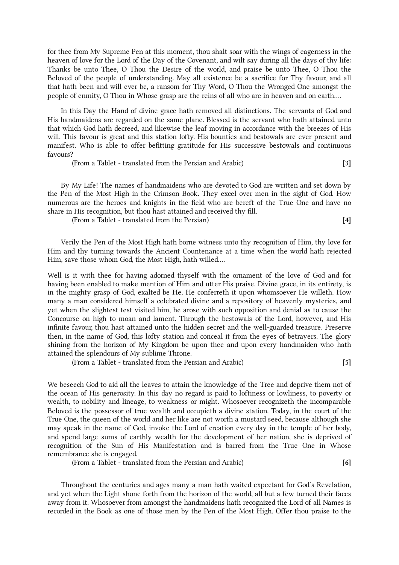for thee from My Supreme Pen at this moment, thou shalt soar with the wings of eagerness in the heaven of love for the Lord of the Day of the Covenant, and wilt say during all the days of thy life: Thanks be unto Thee, O Thou the Desire of the world, and praise be unto Thee, O Thou the Beloved of the people of understanding. May all existence be a sacrifice for Thy favour, and all that hath been and will ever be, a ransom for Thy Word, O Thou the Wronged One amongst the people of enmity, O Thou in Whose grasp are the reins of all who are in heaven and on earth....

In this Day the Hand of divine grace hath removed all distinctions. The servants of God and His handmaidens are regarded on the same plane. Blessed is the servant who hath attained unto that which God hath decreed, and likewise the leaf moving in accordance with the breezes of His will. This favour is great and this station lofty. His bounties and bestowals are ever present and manifest. Who is able to offer befitting gratitude for His successive bestowals and continuous favours?

(From a Tablet - translated from the Persian and Arabic) [3]

By My Life! The names of handmaidens who are devoted to God are written and set down by the Pen of the Most High in the Crimson Book. They excel over men in the sight of God. How numerous are the heroes and knights in the field who are bereft of the True One and have no share in His recognition, but thou hast attained and received thy fill.

(From a Tablet - translated from the Persian) [4]

Verily the Pen of the Most High hath borne witness unto thy recognition of Him, thy love for Him and thy turning towards the Ancient Countenance at a time when the world hath rejected Him, save those whom God, the Most High, hath willed....

Well is it with thee for having adorned thyself with the ornament of the love of God and for having been enabled to make mention of Him and utter His praise. Divine grace, in its entirety, is in the mighty grasp of God, exalted be He. He conferreth it upon whomsoever He willeth. How many a man considered himself a celebrated divine and a repository of heavenly mysteries, and yet when the slightest test visited him, he arose with such opposition and denial as to cause the Concourse on high to moan and lament. Through the bestowals of the Lord, however, and His infinite favour, thou hast attained unto the hidden secret and the well-guarded treasure. Preserve then, in the name of God, this lofty station and conceal it from the eyes of betrayers. The glory shining from the horizon of My Kingdom be upon thee and upon every handmaiden who hath attained the splendours of My sublime Throne.

(From a Tablet - translated from the Persian and Arabic) [5]

We beseech God to aid all the leaves to attain the knowledge of the Tree and deprive them not of the ocean of His generosity. In this day no regard is paid to loftiness or lowliness, to poverty or wealth, to nobility and lineage, to weakness or might. Whosoever recognizeth the incomparable Beloved is the possessor of true wealth and occupieth a divine station. Today, in the court of the True One, the queen of the world and her like are not worth a mustard seed, because although she may speak in the name of God, invoke the Lord of creation every day in the temple of her body, and spend large sums of earthly wealth for the development of her nation, she is deprived of recognition of the Sun of His Manifestation and is barred from the True One in Whose remembrance she is engaged.

(From a Tablet - translated from the Persian and Arabic) [6]

Throughout the centuries and ages many a man hath waited expectant for God's Revelation, and yet when the Light shone forth from the horizon of the world, all but a few turned their faces away from it. Whosoever from amongst the handmaidens hath recognized the Lord of all Names is recorded in the Book as one of those men by the Pen of the Most High. Offer thou praise to the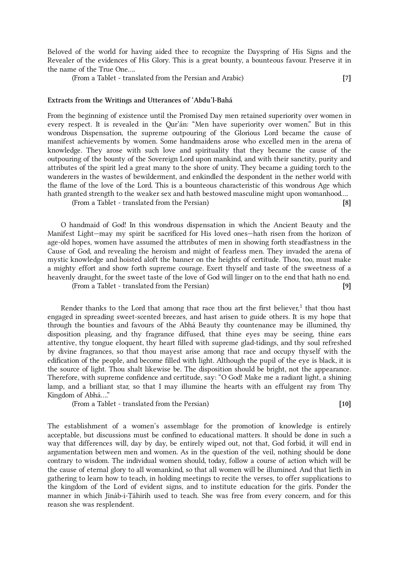Beloved of the world for having aided thee to recognize the Dayspring of His Signs and the Revealer of the evidences of His Glory. This is a great bounty, a bounteous favour. Preserve it in the name of the True One....

(From a Tablet - translated from the Persian and Arabic) [7]

# Extracts from the Writings and Utterances of 'Abdu'l-Bahá

From the beginning of existence until the Promised Day men retained superiority over women in every respect. It is revealed in the Qur'án: "Men have superiority over women." But in this wondrous Dispensation, the supreme outpouring of the Glorious Lord became the cause of manifest achievements by women. Some handmaidens arose who excelled men in the arena of knowledge. They arose with such love and spirituality that they became the cause of the outpouring of the bounty of the Sovereign Lord upon mankind, and with their sanctity, purity and attributes of the spirit led a great many to the shore of unity. They became a guiding torch to the wanderers in the wastes of bewilderment, and enkindled the despondent in the nether world with the flame of the love of the Lord. This is a bounteous characteristic of this wondrous Age which hath granted strength to the weaker sex and hath bestowed masculine might upon womanhood....

(From a Tablet - translated from the Persian) [8]

O handmaid of God! In this wondrous dispensation in which the Ancient Beauty and the Manifest Light—may my spirit be sacrificed for His loved ones—hath risen from the horizon of age-old hopes, women have assumed the attributes of men in showing forth steadfastness in the Cause of God, and revealing the heroism and might of fearless men. They invaded the arena of mystic knowledge and hoisted aloft the banner on the heights of certitude. Thou, too, must make a mighty effort and show forth supreme courage. Exert thyself and taste of the sweetness of a heavenly draught, for the sweet taste of the love of God will linger on to the end that hath no end. (From a Tablet - translated from the Persian) [9]

<span id="page-2-0"></span>Render thanks to the Lord that among that race thou art the first believer,<sup>[1](#page-30-0)</sup> that thou hast engaged in spreading sweet-scented breezes, and hast arisen to guide others. It is my hope that through the bounties and favours of the Abhá Beauty thy countenance may be illumined, thy disposition pleasing, and thy fragrance diffused, that thine eyes may be seeing, thine ears attentive, thy tongue eloquent, thy heart filled with supreme glad-tidings, and thy soul refreshed by divine fragrances, so that thou mayest arise among that race and occupy thyself with the edification of the people, and become filled with light. Although the pupil of the eye is black, it is the source of light. Thou shalt likewise be. The disposition should be bright, not the appearance. Therefore, with supreme confidence and certitude, say: "O God! Make me a radiant light, a shining lamp, and a brilliant star, so that I may illumine the hearts with an effulgent ray from Thy Kingdom of Abhá...."

(From a Tablet - translated from the Persian) [10]

The establishment of a women's assemblage for the promotion of knowledge is entirely acceptable, but discussions must be confined to educational matters. It should be done in such a way that differences will, day by day, be entirely wiped out, not that, God forbid, it will end in argumentation between men and women. As in the question of the veil, nothing should be done contrary to wisdom. The individual women should, today, follow a course of action which will be the cause of eternal glory to all womankind, so that all women will be illumined. And that lieth in gathering to learn how to teach, in holding meetings to recite the verses, to offer supplications to the kingdom of the Lord of evident signs, and to institute education for the girls. Ponder the manner in which Jináb-i-Ṭáhirih used to teach. She was free from every concern, and for this reason she was resplendent.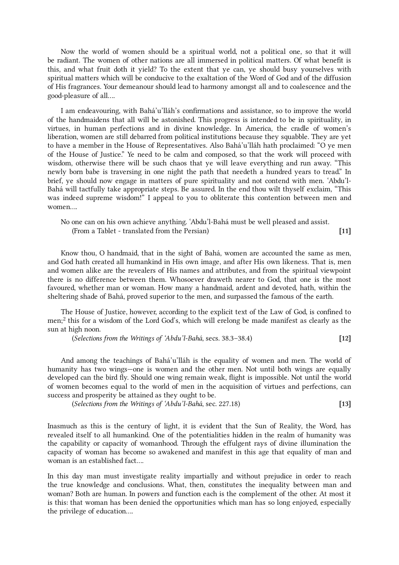Now the world of women should be a spiritual world, not a political one, so that it will be radiant. The women of other nations are all immersed in political matters. Of what benefit is this, and what fruit doth it yield? To the extent that ye can, ye should busy yourselves with spiritual matters which will be conducive to the exaltation of the Word of God and of the diffusion of His fragrances. Your demeanour should lead to harmony amongst all and to coalescence and the good-pleasure of all....

I am endeavouring, with Bahá'u'lláh's confirmations and assistance, so to improve the world of the handmaidens that all will be astonished. This progress is intended to be in spirituality, in virtues, in human perfections and in divine knowledge. In America, the cradle of women's liberation, women are still debarred from political institutions because they squabble. They are yet to have a member in the House of Representatives. Also Bahá'u'lláh hath proclaimed: "O ye men of the House of Justice." Ye need to be calm and composed, so that the work will proceed with wisdom, otherwise there will be such chaos that ye will leave everything and run away. "This newly born babe is traversing in one night the path that needeth a hundred years to tread." In brief, ye should now engage in matters of pure spirituality and not contend with men. 'Abdu'l-Bahá will tactfully take appropriate steps. Be assured. In the end thou wilt thyself exclaim, "This was indeed supreme wisdom!" I appeal to you to obliterate this contention between men and women....

No one can on his own achieve anything. 'Abdu'l-Bahá must be well pleased and assist. (From a Tablet - translated from the Persian) [11]

Know thou, O handmaid, that in the sight of Bahá, women are accounted the same as men, and God hath created all humankind in His own image, and after His own likeness. That is, men and women alike are the revealers of His names and attributes, and from the spiritual viewpoint there is no difference between them. Whosoever draweth nearer to God, that one is the most favoured, whether man or woman. How many a handmaid, ardent and devoted, hath, within the sheltering shade of Bahá, proved superior to the men, and surpassed the famous of the earth.

<span id="page-3-0"></span>The House of Justice, however, according to the explicit text of the Law of God, is confined to men;<sup>[2](#page-30-1)</sup> this for a wisdom of the Lord God's, which will erelong be made manifest as clearly as the sun at high noon.

(Selections from the Writings of 'Abdu'l-Bahá, secs. 38.3–38.4) [12]

And among the teachings of Bahá'u'lláh is the equality of women and men. The world of humanity has two wings—one is women and the other men. Not until both wings are equally developed can the bird fly. Should one wing remain weak, flight is impossible. Not until the world of women becomes equal to the world of men in the acquisition of virtues and perfections, can success and prosperity be attained as they ought to be.

(Selections from the Writings of 'Abdu'l-Bahá, sec. 227.18) [13]

Inasmuch as this is the century of light, it is evident that the Sun of Reality, the Word, has revealed itself to all humankind. One of the potentialities hidden in the realm of humanity was the capability or capacity of womanhood. Through the effulgent rays of divine illumination the capacity of woman has become so awakened and manifest in this age that equality of man and woman is an established fact....

In this day man must investigate reality impartially and without prejudice in order to reach the true knowledge and conclusions. What, then, constitutes the inequality between man and woman? Both are human. In powers and function each is the complement of the other. At most it is this: that woman has been denied the opportunities which man has so long enjoyed, especially the privilege of education....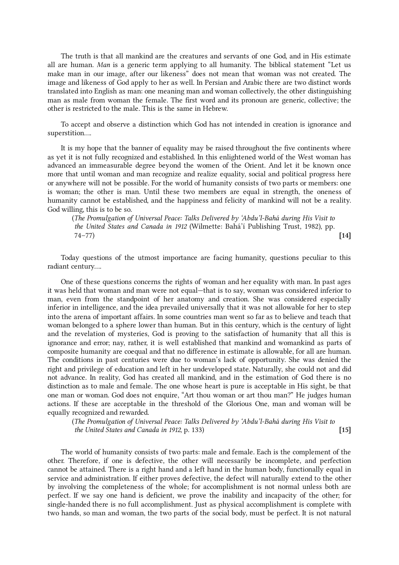The truth is that all mankind are the creatures and servants of one God, and in His estimate all are human. Man is a generic term applying to all humanity. The biblical statement "Let us make man in our image, after our likeness" does not mean that woman was not created. The image and likeness of God apply to her as well. In Persian and Arabic there are two distinct words translated into English as man: one meaning man and woman collectively, the other distinguishing man as male from woman the female. The first word and its pronoun are generic, collective; the other is restricted to the male. This is the same in Hebrew.

To accept and observe a distinction which God has not intended in creation is ignorance and superstition....

It is my hope that the banner of equality may be raised throughout the five continents where as yet it is not fully recognized and established. In this enlightened world of the West woman has advanced an immeasurable degree beyond the women of the Orient. And let it be known once more that until woman and man recognize and realize equality, social and political progress here or anywhere will not be possible. For the world of humanity consists of two parts or members: one is woman; the other is man. Until these two members are equal in strength, the oneness of humanity cannot be established, and the happiness and felicity of mankind will not be a reality. God willing, this is to be so.

(The Promulgation of Universal Peace: Talks Delivered by 'Abdu'l-Bahá during His Visit to the United States and Canada in 1912 (Wilmette: Bahá'í Publishing Trust, 1982), pp.  $74-77$ ) [14]

Today questions of the utmost importance are facing humanity, questions peculiar to this radiant century....

One of these questions concerns the rights of woman and her equality with man. In past ages it was held that woman and man were not equal—that is to say, woman was considered inferior to man, even from the standpoint of her anatomy and creation. She was considered especially inferior in intelligence, and the idea prevailed universally that it was not allowable for her to step into the arena of important affairs. In some countries man went so far as to believe and teach that woman belonged to a sphere lower than human. But in this century, which is the century of light and the revelation of mysteries, God is proving to the satisfaction of humanity that all this is ignorance and error; nay, rather, it is well established that mankind and womankind as parts of composite humanity are coequal and that no difference in estimate is allowable, for all are human. The conditions in past centuries were due to woman's lack of opportunity. She was denied the right and privilege of education and left in her undeveloped state. Naturally, she could not and did not advance. In reality, God has created all mankind, and in the estimation of God there is no distinction as to male and female. The one whose heart is pure is acceptable in His sight, be that one man or woman. God does not enquire, "Art thou woman or art thou man?" He judges human actions. If these are acceptable in the threshold of the Glorious One, man and woman will be equally recognized and rewarded.

(The Promulgation of Universal Peace: Talks Delivered by 'Abdu'l-Bahá during His Visit to the United States and Canada in 1912, p. 133) [15]

The world of humanity consists of two parts: male and female. Each is the complement of the other. Therefore, if one is defective, the other will necessarily be incomplete, and perfection cannot be attained. There is a right hand and a left hand in the human body, functionally equal in service and administration. If either proves defective, the defect will naturally extend to the other by involving the completeness of the whole; for accomplishment is not normal unless both are perfect. If we say one hand is deficient, we prove the inability and incapacity of the other; for single-handed there is no full accomplishment. Just as physical accomplishment is complete with two hands, so man and woman, the two parts of the social body, must be perfect. It is not natural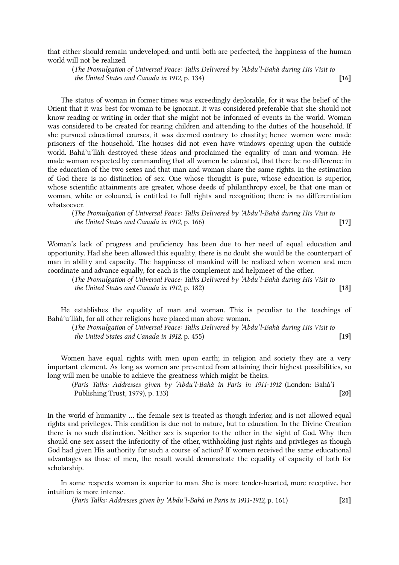that either should remain undeveloped; and until both are perfected, the happiness of the human world will not be realized.

(The Promulgation of Universal Peace: Talks Delivered by 'Abdu'l-Bahá during His Visit to the United States and Canada in  $1912$ , p. 134) [16]

The status of woman in former times was exceedingly deplorable, for it was the belief of the Orient that it was best for woman to be ignorant. It was considered preferable that she should not know reading or writing in order that she might not be informed of events in the world. Woman was considered to be created for rearing children and attending to the duties of the household. If she pursued educational courses, it was deemed contrary to chastity; hence women were made prisoners of the household. The houses did not even have windows opening upon the outside world. Bahá'u'lláh destroyed these ideas and proclaimed the equality of man and woman. He made woman respected by commanding that all women be educated, that there be no difference in the education of the two sexes and that man and woman share the same rights. In the estimation of God there is no distinction of sex. One whose thought is pure, whose education is superior, whose scientific attainments are greater, whose deeds of philanthropy excel, be that one man or woman, white or coloured, is entitled to full rights and recognition; there is no differentiation whatsoever.

(The Promulgation of Universal Peace: Talks Delivered by 'Abdu'l-Bahá during His Visit to the United States and Canada in 1912, p. 166) [17]

Woman's lack of progress and proficiency has been due to her need of equal education and opportunity. Had she been allowed this equality, there is no doubt she would be the counterpart of man in ability and capacity. The happiness of mankind will be realized when women and men coordinate and advance equally, for each is the complement and helpmeet of the other.

(The Promulgation of Universal Peace: Talks Delivered by 'Abdu'l-Bahá during His Visit to the United States and Canada in  $1912$ , p. 182) [18]

He establishes the equality of man and woman. This is peculiar to the teachings of Bahá'u'lláh, for all other religions have placed man above woman.

(The Promulgation of Universal Peace: Talks Delivered by 'Abdu'l-Bahá during His Visit to  $the United States and Canada in 1912, p. 455)$  [19]

Women have equal rights with men upon earth; in religion and society they are a very important element. As long as women are prevented from attaining their highest possibilities, so long will men be unable to achieve the greatness which might be theirs.

(Paris Talks: Addresses given by 'Abdu'l-Bahá in Paris in 1911-1912 (London: Bahá'í Publishing Trust, 1979), p. 133)  $[20]$ 

In the world of humanity ... the female sex is treated as though inferior, and is not allowed equal rights and privileges. This condition is due not to nature, but to education. In the Divine Creation there is no such distinction. Neither sex is superior to the other in the sight of God. Why then should one sex assert the inferiority of the other, withholding just rights and privileges as though God had given His authority for such a course of action? If women received the same educational advantages as those of men, the result would demonstrate the equality of capacity of both for scholarship.

In some respects woman is superior to man. She is more tender-hearted, more receptive, her intuition is more intense.

(Paris Talks: Addresses given by 'Abdu'l-Bahá in Paris in 1911-1912, p. 161) [21]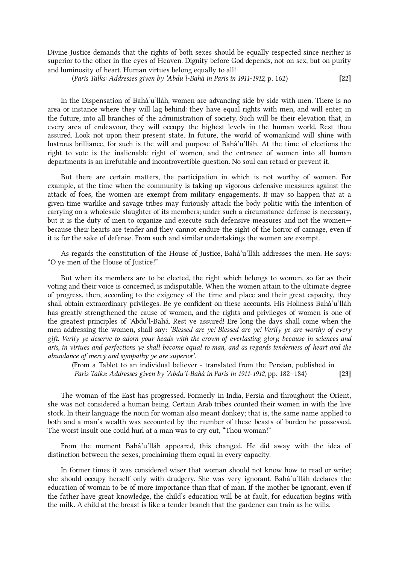Divine Justice demands that the rights of both sexes should be equally respected since neither is superior to the other in the eyes of Heaven. Dignity before God depends, not on sex, but on purity and luminosity of heart. Human virtues belong equally to all!

(Paris Talks: Addresses given by 'Abdu'l-Bahá in Paris in 1911-1912, p. 162) [22]

In the Dispensation of Bahá'u'lláh, women are advancing side by side with men. There is no area or instance where they will lag behind: they have equal rights with men, and will enter, in the future, into all branches of the administration of society. Such will be their elevation that, in every area of endeavour, they will occupy the highest levels in the human world. Rest thou assured. Look not upon their present state. In future, the world of womankind will shine with lustrous brilliance, for such is the will and purpose of Bahá'u'lláh. At the time of elections the right to vote is the inalienable right of women, and the entrance of women into all human departments is an irrefutable and incontrovertible question. No soul can retard or prevent it.

But there are certain matters, the participation in which is not worthy of women. For example, at the time when the community is taking up vigorous defensive measures against the attack of foes, the women are exempt from military engagements. It may so happen that at a given time warlike and savage tribes may furiously attack the body politic with the intention of carrying on a wholesale slaughter of its members; under such a circumstance defense is necessary, but it is the duty of men to organize and execute such defensive measures and not the women because their hearts are tender and they cannot endure the sight of the horror of carnage, even if it is for the sake of defense. From such and similar undertakings the women are exempt.

As regards the constitution of the House of Justice, Bahá'u'lláh addresses the men. He says: "O ye men of the House of Justice!"

But when its members are to be elected, the right which belongs to women, so far as their voting and their voice is concerned, is indisputable. When the women attain to the ultimate degree of progress, then, according to the exigency of the time and place and their great capacity, they shall obtain extraordinary privileges. Be ye confident on these accounts. His Holiness Bahá'u'lláh has greatly strengthened the cause of women, and the rights and privileges of women is one of the greatest principles of 'Abdu'l-Bahá. Rest ye assured! Ere long the days shall come when the men addressing the women, shall say: 'Blessed are ye! Blessed are ye! Verily ye are worthy of every gift. Verily ye deserve to adorn your heads with the crown of everlasting glory, because in sciences and arts, in virtues and perfections ye shall become equal to man, and as regards tenderness of heart and the abundance of mercy and sympathy ye are superior'.

(From a Tablet to an individual believer - translated from the Persian, published in Paris Talks: Addresses given by 'Abdu'l-Bahá in Paris in 1911-1912, pp. 182–184) [23]

The woman of the East has progressed. Formerly in India, Persia and throughout the Orient, she was not considered a human being. Certain Arab tribes counted their women in with the live stock. In their language the noun for woman also meant donkey; that is, the same name applied to both and a man's wealth was accounted by the number of these beasts of burden he possessed. The worst insult one could hurl at a man was to cry out, "Thou woman!"

From the moment Bahá'u'lláh appeared, this changed. He did away with the idea of distinction between the sexes, proclaiming them equal in every capacity.

In former times it was considered wiser that woman should not know how to read or write; she should occupy herself only with drudgery. She was very ignorant. Bahá'u'lláh declares the education of woman to be of more importance than that of man. If the mother be ignorant, even if the father have great knowledge, the child's education will be at fault, for education begins with the milk. A child at the breast is like a tender branch that the gardener can train as he wills.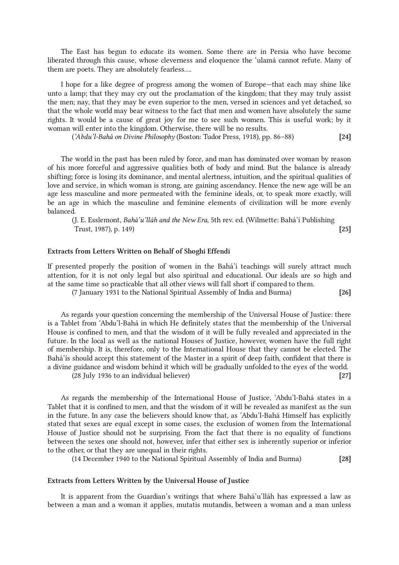The East has begun to educate its women. Some there are in Persia who have become liberated through this cause, whose cleverness and eloquence the 'ulamá cannot refute. Many of them are poets. They are absolutely fearless....

I hope for a like degree of progress among the women of Europe—that each may shine like unto a lamp; that they may cry out the proclamation of the kingdom; that they may truly assist the men; nay, that they may be even superior to the men, versed in sciences and yet detached, so that the whole world may bear witness to the fact that men and women have absolutely the same rights. It would be a cause of great joy for me to see such women. This is useful work; by it woman will enter into the kingdom. Otherwise, there will be no results.

('Abdu'l-Bahá on Divine Philosophy (Boston: Tudor Press, 1918), pp. 86–88) [24]

The world in the past has been ruled by force, and man has dominated over woman by reason of his more forceful and aggressive qualities both of body and mind. But the balance is already shifting; force is losing its dominance, and mental alertness, intuition, and the spiritual qualities of love and service, in which woman is strong, are gaining ascendancy. Hence the new age will be an age less masculine and more permeated with the feminine ideals, or, to speak more exactly, will be an age in which the masculine and feminine elements of civilization will be more evenly balanced.

(J. E. Esslemont, Bahá'u'lláh and the New Era, 5th rev. ed. (Wilmette: Bahá'í Publishing Trust, 1987), p. 149) [25]

### Extracts from Letters Written on Behalf of Shoghi Effendi

If presented properly the position of women in the Bahá'í teachings will surely attract much attention, for it is not only legal but also spiritual and educational. Our ideals are so high and at the same time so practicable that all other views will fall short if compared to them.

(7 January 1931 to the National Spiritual Assembly of India and Burma) [26]

As regards your question concerning the membership of the Universal House of Justice: there is a Tablet from 'Abdu'l-Bahá in which He definitely states that the membership of the Universal House is confined to men, and that the wisdom of it will be fully revealed and appreciated in the future. In the local as well as the national Houses of Justice, however, women have the full right of membership. It is, therefore, only to the International House that they cannot be elected. The Bahá'ís should accept this statement of the Master in a spirit of deep faith, confident that there is a divine guidance and wisdom behind it which will be gradually unfolded to the eyes of the world.

(28 July 1936 to an individual believer) [27]

As regards the membership of the International House of Justice, 'Abdu'l-Bahá states in a Tablet that it is confined to men, and that the wisdom of it will be revealed as manifest as the sun in the future. In any case the believers should know that, as 'Abdu'l-Bahá Himself has explicitly stated that sexes are equal except in some cases, the exclusion of women from the International House of Justice should not be surprising. From the fact that there is no equality of functions between the sexes one should not, however, infer that either sex is inherently superior or inferior to the other, or that they are unequal in their rights.

(14 December 1940 to the National Spiritual Assembly of India and Burma) [28]

# Extracts from Letters Written by the Universal House of Justice

It is apparent from the Guardian's writings that where Bahá'u'lláh has expressed a law as between a man and a woman it applies, mutatis mutandis, between a woman and a man unless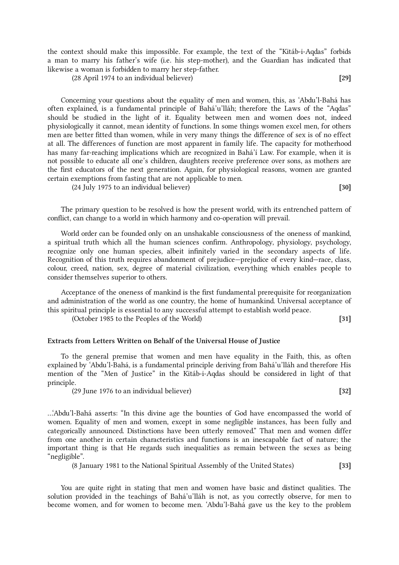the context should make this impossible. For example, the text of the "Kitáb-i-Aqdas" forbids a man to marry his father's wife (i.e. his step-mother), and the Guardian has indicated that likewise a woman is forbidden to marry her step-father.

(28 April 1974 to an individual believer) [29]

Concerning your questions about the equality of men and women, this, as 'Abdu'l-Bahá has often explained, is a fundamental principle of Bahá'u'lláh; therefore the Laws of the "Aqdas" should be studied in the light of it. Equality between men and women does not, indeed physiologically it cannot, mean identity of functions. In some things women excel men, for others men are better fitted than women, while in very many things the difference of sex is of no effect at all. The differences of function are most apparent in family life. The capacity for motherhood has many far-reaching implications which are recognized in Bahá'í Law. For example, when it is not possible to educate all one's children, daughters receive preference over sons, as mothers are the first educators of the next generation. Again, for physiological reasons, women are granted certain exemptions from fasting that are not applicable to men.

 $(24 \text{ July } 1975 \text{ to an individual believe})$  [30]

The primary question to be resolved is how the present world, with its entrenched pattern of conflict, can change to a world in which harmony and co-operation will prevail.

World order can be founded only on an unshakable consciousness of the oneness of mankind, a spiritual truth which all the human sciences confirm. Anthropology, physiology, psychology, recognize only one human species, albeit infinitely varied in the secondary aspects of life. Recognition of this truth requires abandonment of prejudice—prejudice of every kind—race, class, colour, creed, nation, sex, degree of material civilization, everything which enables people to consider themselves superior to others.

Acceptance of the oneness of mankind is the first fundamental prerequisite for reorganization and administration of the world as one country, the home of humankind. Universal acceptance of this spiritual principle is essential to any successful attempt to establish world peace.

(October 1985 to the Peoples of the World) [31]

# Extracts from Letters Written on Behalf of the Universal House of Justice

To the general premise that women and men have equality in the Faith, this, as often explained by 'Abdu'l-Bahá, is a fundamental principle deriving from Bahá'u'lláh and therefore His mention of the "Men of Justice" in the Kitáb-i-Aqdas should be considered in light of that principle.

(29 June 1976 to an individual believer) [32]

...'Abdu'l-Bahá asserts: "In this divine age the bounties of God have encompassed the world of women. Equality of men and women, except in some negligible instances, has been fully and categorically announced. Distinctions have been utterly removed." That men and women differ from one another in certain characteristics and functions is an inescapable fact of nature; the important thing is that He regards such inequalities as remain between the sexes as being "negligible".

(8 January 1981 to the National Spiritual Assembly of the United States) [33]

You are quite right in stating that men and women have basic and distinct qualities. The solution provided in the teachings of Bahá'u'lláh is not, as you correctly observe, for men to become women, and for women to become men. 'Abdu'l-Bahá gave us the key to the problem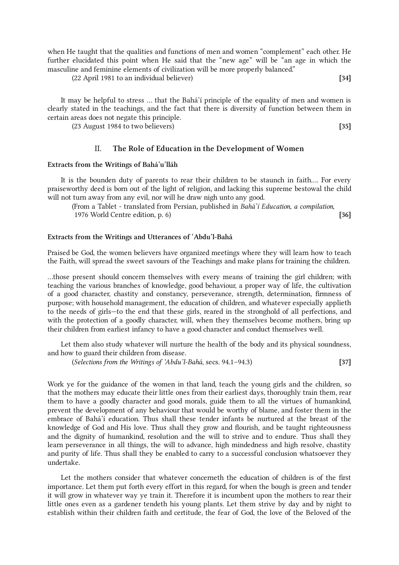when He taught that the qualities and functions of men and women "complement" each other. He further elucidated this point when He said that the "new age" will be "an age in which the masculine and feminine elements of civilization will be more properly balanced."

(22 April 1981 to an individual believer) [34]

It may be helpful to stress ... that the Bahá'í principle of the equality of men and women is clearly stated in the teachings, and the fact that there is diversity of function between them in certain areas does not negate this principle.

(23 August 1984 to two believers) [35]

# <span id="page-9-0"></span>II. The Role of Education in the Development of Women

# Extracts from the Writings of Bahá'u'lláh

It is the bounden duty of parents to rear their children to be staunch in faith.... For every praiseworthy deed is born out of the light of religion, and lacking this supreme bestowal the child will not turn away from any evil, nor will he draw nigh unto any good.

(From a Tablet - translated from Persian, published in Bahá'í Education, a compilation, 1976 World Centre edition, p. 6) [36]

### Extracts from the Writings and Utterances of 'Abdu'l-Bahá

Praised be God, the women believers have organized meetings where they will learn how to teach the Faith, will spread the sweet savours of the Teachings and make plans for training the children.

...those present should concern themselves with every means of training the girl children; with teaching the various branches of knowledge, good behaviour, a proper way of life, the cultivation of a good character, chastity and constancy, perseverance, strength, determination, firmness of purpose; with household management, the education of children, and whatever especially applieth to the needs of girls—to the end that these girls, reared in the stronghold of all perfections, and with the protection of a goodly character, will, when they themselves become mothers, bring up their children from earliest infancy to have a good character and conduct themselves well.

Let them also study whatever will nurture the health of the body and its physical soundness, and how to guard their children from disease.

(Selections from the Writings of 'Abdu'l-Bahá, secs. 94.1–94.3) [37]

Work ye for the guidance of the women in that land, teach the young girls and the children, so that the mothers may educate their little ones from their earliest days, thoroughly train them, rear them to have a goodly character and good morals, guide them to all the virtues of humankind, prevent the development of any behaviour that would be worthy of blame, and foster them in the embrace of Bahá'í education. Thus shall these tender infants be nurtured at the breast of the knowledge of God and His love. Thus shall they grow and flourish, and be taught righteousness and the dignity of humankind, resolution and the will to strive and to endure. Thus shall they learn perseverance in all things, the will to advance, high mindedness and high resolve, chastity and purity of life. Thus shall they be enabled to carry to a successful conclusion whatsoever they undertake.

Let the mothers consider that whatever concerneth the education of children is of the first importance. Let them put forth every effort in this regard, for when the bough is green and tender it will grow in whatever way ye train it. Therefore it is incumbent upon the mothers to rear their little ones even as a gardener tendeth his young plants. Let them strive by day and by night to establish within their children faith and certitude, the fear of God, the love of the Beloved of the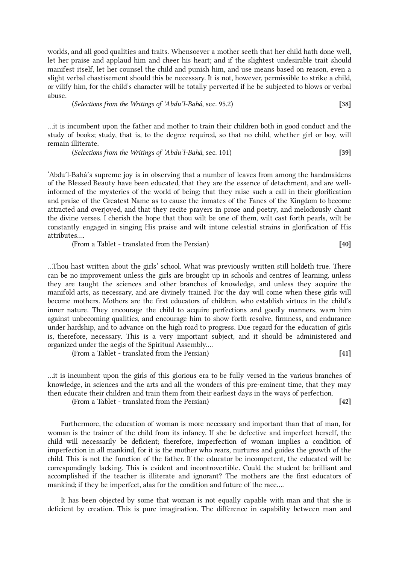worlds, and all good qualities and traits. Whensoever a mother seeth that her child hath done well, let her praise and applaud him and cheer his heart; and if the slightest undesirable trait should manifest itself, let her counsel the child and punish him, and use means based on reason, even a slight verbal chastisement should this be necessary. It is not, however, permissible to strike a child, or vilify him, for the child's character will be totally perverted if he be subjected to blows or verbal abuse.

(Selections from the Writings of 'Abdu'l-Bahá, sec. 95.2) [38]

...it is incumbent upon the father and mother to train their children both in good conduct and the study of books; study, that is, to the degree required, so that no child, whether girl or boy, will remain illiterate.

(Selections from the Writings of 'Abdu'l-Bahá, sec. 101) [39]

'Abdu'l-Bahá's supreme joy is in observing that a number of leaves from among the handmaidens of the Blessed Beauty have been educated, that they are the essence of detachment, and are wellinformed of the mysteries of the world of being; that they raise such a call in their glorification and praise of the Greatest Name as to cause the inmates of the Fanes of the Kingdom to become attracted and overjoyed, and that they recite prayers in prose and poetry, and melodiously chant the divine verses. I cherish the hope that thou wilt be one of them, wilt cast forth pearls, wilt be constantly engaged in singing His praise and wilt intone celestial strains in glorification of His attributes....

(From a Tablet - translated from the Persian) [40]

...Thou hast written about the girls' school. What was previously written still holdeth true. There can be no improvement unless the girls are brought up in schools and centres of learning, unless they are taught the sciences and other branches of knowledge, and unless they acquire the manifold arts, as necessary, and are divinely trained. For the day will come when these girls will become mothers. Mothers are the first educators of children, who establish virtues in the child's inner nature. They encourage the child to acquire perfections and goodly manners, warn him against unbecoming qualities, and encourage him to show forth resolve, firmness, and endurance under hardship, and to advance on the high road to progress. Due regard for the education of girls is, therefore, necessary. This is a very important subject, and it should be administered and organized under the aegis of the Spiritual Assembly....

(From a Tablet - translated from the Persian) [41]

...it is incumbent upon the girls of this glorious era to be fully versed in the various branches of knowledge, in sciences and the arts and all the wonders of this pre-eminent time, that they may then educate their children and train them from their earliest days in the ways of perfection.

(From a Tablet - translated from the Persian) [42]

Furthermore, the education of woman is more necessary and important than that of man, for woman is the trainer of the child from its infancy. If she be defective and imperfect herself, the child will necessarily be deficient; therefore, imperfection of woman implies a condition of imperfection in all mankind, for it is the mother who rears, nurtures and guides the growth of the child. This is not the function of the father. If the educator be incompetent, the educated will be correspondingly lacking. This is evident and incontrovertible. Could the student be brilliant and accomplished if the teacher is illiterate and ignorant? The mothers are the first educators of mankind; if they be imperfect, alas for the condition and future of the race....

It has been objected by some that woman is not equally capable with man and that she is deficient by creation. This is pure imagination. The difference in capability between man and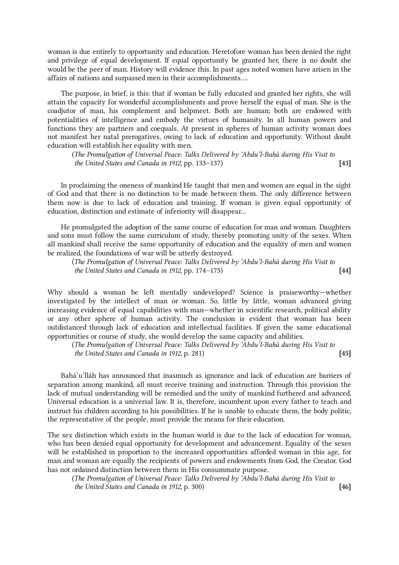woman is due entirely to opportunity and education. Heretofore woman has been denied the right and privilege of equal development. If equal opportunity be granted her, there is no doubt she would be the peer of man. History will evidence this. In past ages noted women have arisen in the affairs of nations and surpassed men in their accomplishments....

The purpose, in brief, is this: that if woman be fully educated and granted her rights, she will attain the capacity for wonderful accomplishments and prove herself the equal of man. She is the coadjutor of man, his complement and helpmeet. Both are human; both are endowed with potentialities of intelligence and embody the virtues of humanity. In all human powers and functions they are partners and coequals. At present in spheres of human activity woman does not manifest her natal prerogatives, owing to lack of education and opportunity. Without doubt education will establish her equality with men.

(The Promulgation of Universal Peace: Talks Delivered by 'Abdu'l-Bahá during His Visit to the United States and Canada in 1912, pp.  $133-137$ ) [43]

In proclaiming the oneness of mankind He taught that men and women are equal in the sight of God and that there is no distinction to be made between them. The only difference between them now is due to lack of education and training. If woman is given equal opportunity of education, distinction and estimate of inferiority will disappear...

He promulgated the adoption of the same course of education for man and woman. Daughters and sons must follow the same curriculum of study, thereby promoting unity of the sexes. When all mankind shall receive the same opportunity of education and the equality of men and women be realized, the foundations of war will be utterly destroyed.

(The Promulgation of Universal Peace: Talks Delivered by 'Abdu'l-Bahá during His Visit to the United States and Canada in 1912, pp.  $174-175$ ) [44]

Why should a woman be left mentally undeveloped? Science is praiseworthy—whether investigated by the intellect of man or woman. So, little by little, woman advanced giving increasing evidence of equal capabilities with man—whether in scientific research, political ability or any other sphere of human activity. The conclusion is evident that woman has been outdistanced through lack of education and intellectual facilities. If given the same educational opportunities or course of study, she would develop the same capacity and abilities.

(The Promulgation of Universal Peace: Talks Delivered by 'Abdu'l-Bahá during His Visit to the United States and Canada in 1912, p. 281)  $[45]$ 

Bahá'u'lláh has announced that inasmuch as ignorance and lack of education are barriers of separation among mankind, all must receive training and instruction. Through this provision the lack of mutual understanding will be remedied and the unity of mankind furthered and advanced. Universal education is a universal law. It is, therefore, incumbent upon every father to teach and instruct his children according to his possibilities. If he is unable to educate them, the body politic, the representative of the people, must provide the means for their education.

The sex distinction which exists in the human world is due to the lack of education for woman, who has been denied equal opportunity for development and advancement. Equality of the sexes will be established in proportion to the increased opportunities afforded woman in this age, for man and woman are equally the recipients of powers and endowments from God, the Creator. God has not ordained distinction between them in His consummate purpose.

(The Promulgation of Universal Peace: Talks Delivered by 'Abdu'l-Bahá during His Visit to  $the United States and Canada in 1912, p. 300$  [46]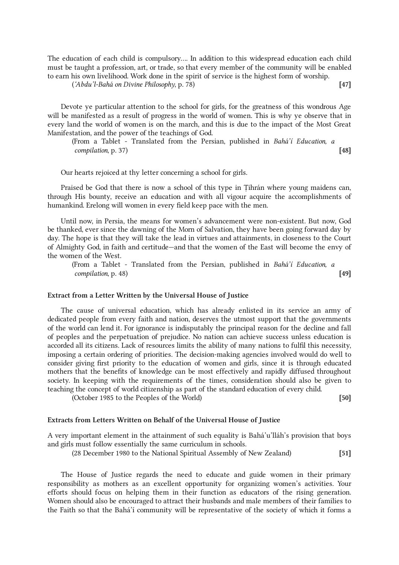The education of each child is compulsory.... In addition to this widespread education each child must be taught a profession, art, or trade, so that every member of the community will be enabled to earn his own livelihood. Work done in the spirit of service is the highest form of worship.

 $(Abdu'l-Bahá on Divine Philosophy, p. 78)$  [47]

Devote ye particular attention to the school for girls, for the greatness of this wondrous Age will be manifested as a result of progress in the world of women. This is why ye observe that in every land the world of women is on the march, and this is due to the impact of the Most Great Manifestation, and the power of the teachings of God.

(From a Tablet - Translated from the Persian, published in Bahá'í Education, a  $complation, p. 37)$  [48]

Our hearts rejoiced at thy letter concerning a school for girls.

Praised be God that there is now a school of this type in Ṭihrán where young maidens can, through His bounty, receive an education and with all vigour acquire the accomplishments of humankind. Erelong will women in every field keep pace with the men.

Until now, in Persia, the means for women's advancement were non-existent. But now, God be thanked, ever since the dawning of the Morn of Salvation, they have been going forward day by day. The hope is that they will take the lead in virtues and attainments, in closeness to the Court of Almighty God, in faith and certitude—and that the women of the East will become the envy of the women of the West.

(From a Tablet - Translated from the Persian, published in Bahá'í Education, a  $complation, p. 48)$  [49]

#### Extract from a Letter Written by the Universal House of Justice

The cause of universal education, which has already enlisted in its service an army of dedicated people from every faith and nation, deserves the utmost support that the governments of the world can lend it. For ignorance is indisputably the principal reason for the decline and fall of peoples and the perpetuation of prejudice. No nation can achieve success unless education is accorded all its citizens. Lack of resources limits the ability of many nations to fulfil this necessity, imposing a certain ordering of priorities. The decision-making agencies involved would do well to consider giving first priority to the education of women and girls, since it is through educated mothers that the benefits of knowledge can be most effectively and rapidly diffused throughout society. In keeping with the requirements of the times, consideration should also be given to teaching the concept of world citizenship as part of the standard education of every child.

(October 1985 to the Peoples of the World) [50]

#### Extracts from Letters Written on Behalf of the Universal House of Justice

A very important element in the attainment of such equality is Bahá'u'lláh's provision that boys and girls must follow essentially the same curriculum in schools.

(28 December 1980 to the National Spiritual Assembly of New Zealand) [51]

The House of Justice regards the need to educate and guide women in their primary responsibility as mothers as an excellent opportunity for organizing women's activities. Your efforts should focus on helping them in their function as educators of the rising generation. Women should also be encouraged to attract their husbands and male members of their families to the Faith so that the Bahá'í community will be representative of the society of which it forms a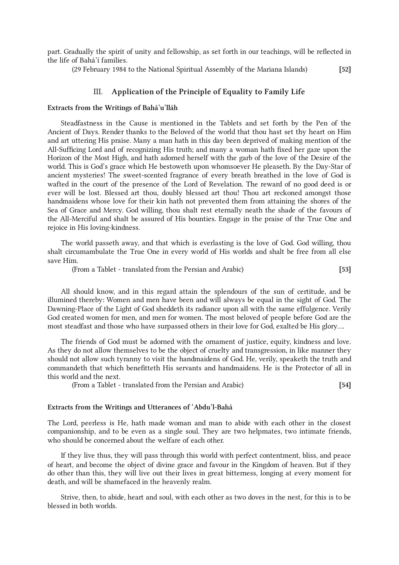part. Gradually the spirit of unity and fellowship, as set forth in our teachings, will be reflected in the life of Bahá'í families.

(29 February 1984 to the National Spiritual Assembly of the Mariana Islands) [52]

# <span id="page-13-0"></span>III. Application of the Principle of Equality to Family Life

# Extracts from the Writings of Bahá'u'lláh

Steadfastness in the Cause is mentioned in the Tablets and set forth by the Pen of the Ancient of Days. Render thanks to the Beloved of the world that thou hast set thy heart on Him and art uttering His praise. Many a man hath in this day been deprived of making mention of the All-Sufficing Lord and of recognizing His truth; and many a woman hath fixed her gaze upon the Horizon of the Most High, and hath adorned herself with the garb of the love of the Desire of the world. This is God's grace which He bestoweth upon whomsoever He pleaseth. By the Day-Star of ancient mysteries! The sweet-scented fragrance of every breath breathed in the love of God is wafted in the court of the presence of the Lord of Revelation. The reward of no good deed is or ever will be lost. Blessed art thou, doubly blessed art thou! Thou art reckoned amongst those handmaidens whose love for their kin hath not prevented them from attaining the shores of the Sea of Grace and Mercy. God willing, thou shalt rest eternally neath the shade of the favours of the All-Merciful and shalt be assured of His bounties. Engage in the praise of the True One and rejoice in His loving-kindness.

The world passeth away, and that which is everlasting is the love of God. God willing, thou shalt circumambulate the True One in every world of His worlds and shalt be free from all else save Him.

(From a Tablet - translated from the Persian and Arabic) [53]

All should know, and in this regard attain the splendours of the sun of certitude, and be illumined thereby: Women and men have been and will always be equal in the sight of God. The Dawning-Place of the Light of God sheddeth its radiance upon all with the same effulgence. Verily God created women for men, and men for women. The most beloved of people before God are the most steadfast and those who have surpassed others in their love for God, exalted be His glory....

The friends of God must be adorned with the ornament of justice, equity, kindness and love. As they do not allow themselves to be the object of cruelty and transgression, in like manner they should not allow such tyranny to visit the handmaidens of God. He, verily, speaketh the truth and commandeth that which benefitteth His servants and handmaidens. He is the Protector of all in this world and the next.

(From a Tablet - translated from the Persian and Arabic) [54]

# Extracts from the Writings and Utterances of 'Abdu'l-Bahá

The Lord, peerless is He, hath made woman and man to abide with each other in the closest companionship, and to be even as a single soul. They are two helpmates, two intimate friends, who should be concerned about the welfare of each other.

If they live thus, they will pass through this world with perfect contentment, bliss, and peace of heart, and become the object of divine grace and favour in the Kingdom of heaven. But if they do other than this, they will live out their lives in great bitterness, longing at every moment for death, and will be shamefaced in the heavenly realm.

Strive, then, to abide, heart and soul, with each other as two doves in the nest, for this is to be blessed in both worlds.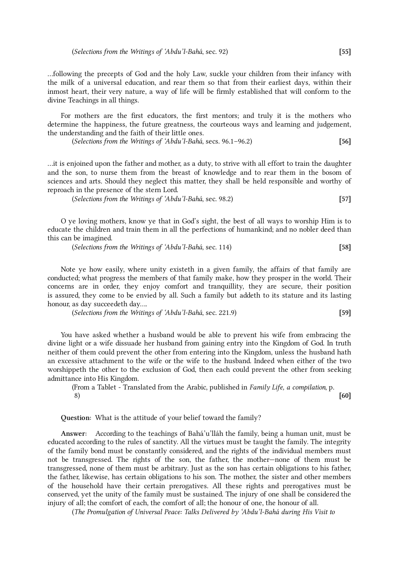...following the precepts of God and the holy Law, suckle your children from their infancy with the milk of a universal education, and rear them so that from their earliest days, within their inmost heart, their very nature, a way of life will be firmly established that will conform to the divine Teachings in all things.

For mothers are the first educators, the first mentors; and truly it is the mothers who determine the happiness, the future greatness, the courteous ways and learning and judgement, the understanding and the faith of their little ones.

(Selections from the Writings of 'Abdu'l-Bahá, secs. 96.1–96.2) [56]

...it is enjoined upon the father and mother, as a duty, to strive with all effort to train the daughter and the son, to nurse them from the breast of knowledge and to rear them in the bosom of sciences and arts. Should they neglect this matter, they shall be held responsible and worthy of reproach in the presence of the stern Lord.

(Selections from the Writings of 'Abdu'l-Bahá, sec. 98.2) [57]

O ye loving mothers, know ye that in God's sight, the best of all ways to worship Him is to educate the children and train them in all the perfections of humankind; and no nobler deed than this can be imagined.

(Selections from the Writings of 'Abdu'l-Bahá, sec. 114) [58]

Note ye how easily, where unity existeth in a given family, the affairs of that family are conducted; what progress the members of that family make, how they prosper in the world. Their concerns are in order, they enjoy comfort and tranquillity, they are secure, their position is assured, they come to be envied by all. Such a family but addeth to its stature and its lasting honour, as day succeedeth day....

(Selections from the Writings of 'Abdu'l-Bahá, sec. 221.9) [59]

You have asked whether a husband would be able to prevent his wife from embracing the divine light or a wife dissuade her husband from gaining entry into the Kingdom of God. In truth neither of them could prevent the other from entering into the Kingdom, unless the husband hath an excessive attachment to the wife or the wife to the husband. Indeed when either of the two worshippeth the other to the exclusion of God, then each could prevent the other from seeking admittance into His Kingdom.

(From a Tablet - Translated from the Arabic, published in Family Life, a compilation, p. 8)  $[60]$ 

Question: What is the attitude of your belief toward the family?

Answer: According to the teachings of Bahá'u'lláh the family, being a human unit, must be educated according to the rules of sanctity. All the virtues must be taught the family. The integrity of the family bond must be constantly considered, and the rights of the individual members must not be transgressed. The rights of the son, the father, the mother—none of them must be transgressed, none of them must be arbitrary. Just as the son has certain obligations to his father, the father, likewise, has certain obligations to his son. The mother, the sister and other members of the household have their certain prerogatives. All these rights and prerogatives must be conserved, yet the unity of the family must be sustained. The injury of one shall be considered the injury of all; the comfort of each, the comfort of all; the honour of one, the honour of all.

(The Promulgation of Universal Peace: Talks Delivered by 'Abdu'l-Bahá during His Visit to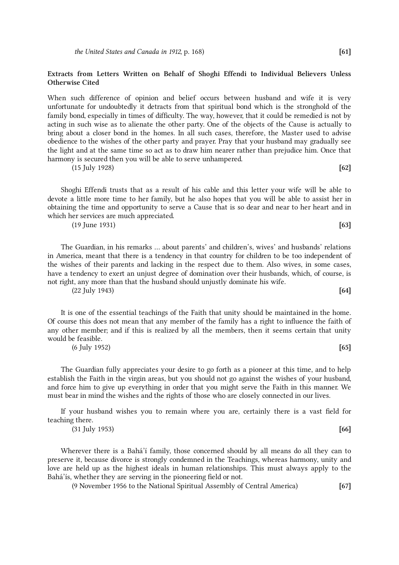# Extracts from Letters Written on Behalf of Shoghi Effendi to Individual Believers Unless Otherwise Cited

When such difference of opinion and belief occurs between husband and wife it is very unfortunate for undoubtedly it detracts from that spiritual bond which is the stronghold of the family bond, especially in times of difficulty. The way, however, that it could be remedied is not by acting in such wise as to alienate the other party. One of the objects of the Cause is actually to bring about a closer bond in the homes. In all such cases, therefore, the Master used to advise obedience to the wishes of the other party and prayer. Pray that your husband may gradually see the light and at the same time so act as to draw him nearer rather than prejudice him. Once that harmony is secured then you will be able to serve unhampered.

 $(15 \text{ July } 1928)$  [62]

Shoghi Effendi trusts that as a result of his cable and this letter your wife will be able to devote a little more time to her family, but he also hopes that you will be able to assist her in obtaining the time and opportunity to serve a Cause that is so dear and near to her heart and in which her services are much appreciated.

 $(19 \text{ June } 1931)$  [63]

The Guardian, in his remarks ... about parents' and children's, wives' and husbands' relations in America, meant that there is a tendency in that country for children to be too independent of the wishes of their parents and lacking in the respect due to them. Also wives, in some cases, have a tendency to exert an unjust degree of domination over their husbands, which, of course, is not right, any more than that the husband should unjustly dominate his wife.

(22 July 1943) [64]

It is one of the essential teachings of the Faith that unity should be maintained in the home. Of course this does not mean that any member of the family has a right to influence the faith of any other member; and if this is realized by all the members, then it seems certain that unity would be feasible.

 $(6 \text{ July } 1952)$  [65]

The Guardian fully appreciates your desire to go forth as a pioneer at this time, and to help establish the Faith in the virgin areas, but you should not go against the wishes of your husband, and force him to give up everything in order that you might serve the Faith in this manner. We must bear in mind the wishes and the rights of those who are closely connected in our lives.

If your husband wishes you to remain where you are, certainly there is a vast field for teaching there.

(31 July 1953) [66]

Wherever there is a Bahá'í family, those concerned should by all means do all they can to preserve it, because divorce is strongly condemned in the Teachings, whereas harmony, unity and love are held up as the highest ideals in human relationships. This must always apply to the Bahá'ís, whether they are serving in the pioneering field or not.

(9 November 1956 to the National Spiritual Assembly of Central America) [67]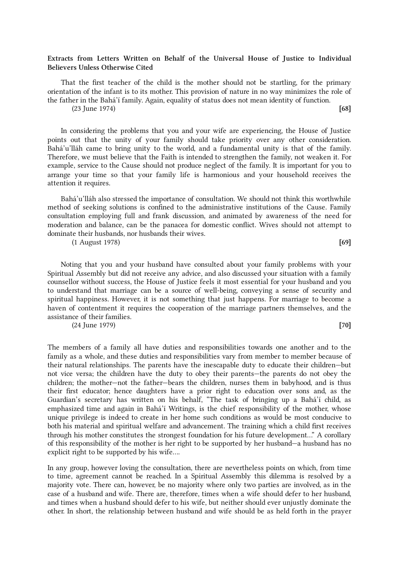# Extracts from Letters Written on Behalf of the Universal House of Justice to Individual Believers Unless Otherwise Cited

That the first teacher of the child is the mother should not be startling, for the primary orientation of the infant is to its mother. This provision of nature in no way minimizes the role of the father in the Bahá'í family. Again, equality of status does not mean identity of function.  $(23 \text{ June } 1974)$  [68]

In considering the problems that you and your wife are experiencing, the House of Justice points out that the unity of your family should take priority over any other consideration. Bahá'u'lláh came to bring unity to the world, and a fundamental unity is that of the family. Therefore, we must believe that the Faith is intended to strengthen the family, not weaken it. For example, service to the Cause should not produce neglect of the family. It is important for you to arrange your time so that your family life is harmonious and your household receives the attention it requires.

Bahá'u'lláh also stressed the importance of consultation. We should not think this worthwhile method of seeking solutions is confined to the administrative institutions of the Cause. Family consultation employing full and frank discussion, and animated by awareness of the need for moderation and balance, can be the panacea for domestic conflict. Wives should not attempt to dominate their husbands, nor husbands their wives.

(1 August 1978) [69]

Noting that you and your husband have consulted about your family problems with your Spiritual Assembly but did not receive any advice, and also discussed your situation with a family counsellor without success, the House of Justice feels it most essential for your husband and you to understand that marriage can be a source of well-being, conveying a sense of security and spiritual happiness. However, it is not something that just happens. For marriage to become a haven of contentment it requires the cooperation of the marriage partners themselves, and the assistance of their families.

(24 June 1979) [70]

The members of a family all have duties and responsibilities towards one another and to the family as a whole, and these duties and responsibilities vary from member to member because of their natural relationships. The parents have the inescapable duty to educate their children—but not vice versa; the children have the duty to obey their parents—the parents do not obey the children; the mother—not the father—bears the children, nurses them in babyhood, and is thus their first educator; hence daughters have a prior right to education over sons and, as the Guardian's secretary has written on his behalf, "The task of bringing up a Bahá'í child, as emphasized time and again in Bahá'í Writings, is the chief responsibility of the mother, whose unique privilege is indeed to create in her home such conditions as would be most conducive to both his material and spiritual welfare and advancement. The training which a child first receives through his mother constitutes the strongest foundation for his future development..." A corollary of this responsibility of the mother is her right to be supported by her husband—a husband has no explicit right to be supported by his wife....

In any group, however loving the consultation, there are nevertheless points on which, from time to time, agreement cannot be reached. In a Spiritual Assembly this dilemma is resolved by a majority vote. There can, however, be no majority where only two parties are involved, as in the case of a husband and wife. There are, therefore, times when a wife should defer to her husband, and times when a husband should defer to his wife, but neither should ever unjustly dominate the other. In short, the relationship between husband and wife should be as held forth in the prayer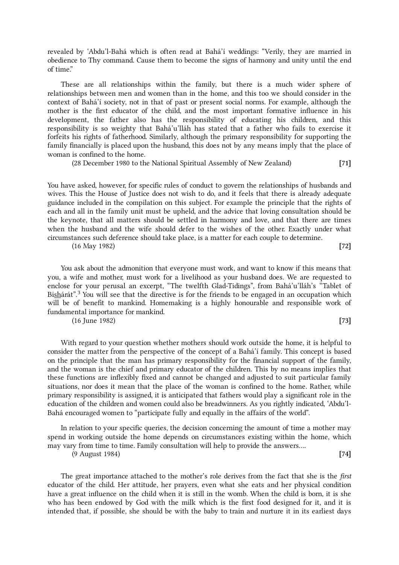revealed by 'Abdu'l-Bahá which is often read at Bahá'í weddings: "Verily, they are married in obedience to Thy command. Cause them to become the signs of harmony and unity until the end of time."

These are all relationships within the family, but there is a much wider sphere of relationships between men and women than in the home, and this too we should consider in the context of Bahá'í society, not in that of past or present social norms. For example, although the mother is the first educator of the child, and the most important formative influence in his development, the father also has the responsibility of educating his children, and this responsibility is so weighty that Bahá'u'lláh has stated that a father who fails to exercise it forfeits his rights of fatherhood. Similarly, although the primary responsibility for supporting the family financially is placed upon the husband, this does not by any means imply that the place of woman is confined to the home.

(28 December 1980 to the National Spiritual Assembly of New Zealand) [71]

You have asked, however, for specific rules of conduct to govern the relationships of husbands and wives. This the House of Justice does not wish to do, and it feels that there is already adequate guidance included in the compilation on this subject. For example the principle that the rights of each and all in the family unit must be upheld, and the advice that loving consultation should be the keynote, that all matters should be settled in harmony and love, and that there are times when the husband and the wife should defer to the wishes of the other. Exactly under what circumstances such deference should take place, is a matter for each couple to determine.  $(16 \text{ May } 1982)$  [72]

<span id="page-17-0"></span>You ask about the admonition that everyone must work, and want to know if this means that you, a wife and mother, must work for a livelihood as your husband does. We are requested to enclose for your perusal an excerpt, "The twelfth Glad-Tidings", from Bahá'u'lláh's "Tablet of Bi<u>sh</u>árát".<sup>[3](#page-30-2)</sup> You will see that the directive is for the friends to be engaged in an occupation which will be of benefit to mankind. Homemaking is a highly honourable and responsible work of fundamental importance for mankind.

(16 June 1982) [73]

With regard to your question whether mothers should work outside the home, it is helpful to consider the matter from the perspective of the concept of a Bahá'í family. This concept is based on the principle that the man has primary responsibility for the financial support of the family, and the woman is the chief and primary educator of the children. This by no means implies that these functions are inflexibly fixed and cannot be changed and adjusted to suit particular family situations, nor does it mean that the place of the woman is confined to the home. Rather, while primary responsibility is assigned, it is anticipated that fathers would play a significant role in the education of the children and women could also be breadwinners. As you rightly indicated, 'Abdu'l-Bahá encouraged women to "participate fully and equally in the affairs of the world".

In relation to your specific queries, the decision concerning the amount of time a mother may spend in working outside the home depends on circumstances existing within the home, which may vary from time to time. Family consultation will help to provide the answers.... (9 August 1984) [74]

The great importance attached to the mother's role derives from the fact that she is the first educator of the child. Her attitude, her prayers, even what she eats and her physical condition have a great influence on the child when it is still in the womb. When the child is born, it is she who has been endowed by God with the milk which is the first food designed for it, and it is intended that, if possible, she should be with the baby to train and nurture it in its earliest days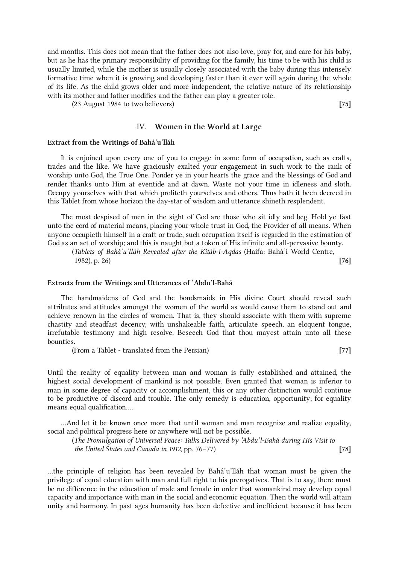and months. This does not mean that the father does not also love, pray for, and care for his baby, but as he has the primary responsibility of providing for the family, his time to be with his child is usually limited, while the mother is usually closely associated with the baby during this intensely formative time when it is growing and developing faster than it ever will again during the whole of its life. As the child grows older and more independent, the relative nature of its relationship with its mother and father modifies and the father can play a greater role.

(23 August 1984 to two believers) [75]

# <span id="page-18-0"></span>IV. Women in the World at Large

### Extract from the Writings of Bahá'u'lláh

It is enjoined upon every one of you to engage in some form of occupation, such as crafts, trades and the like. We have graciously exalted your engagement in such work to the rank of worship unto God, the True One. Ponder ye in your hearts the grace and the blessings of God and render thanks unto Him at eventide and at dawn. Waste not your time in idleness and sloth. Occupy yourselves with that which profiteth yourselves and others. Thus hath it been decreed in this Tablet from whose horizon the day-star of wisdom and utterance shineth resplendent.

The most despised of men in the sight of God are those who sit idly and beg. Hold ye fast unto the cord of material means, placing your whole trust in God, the Provider of all means. When anyone occupieth himself in a craft or trade, such occupation itself is regarded in the estimation of God as an act of worship; and this is naught but a token of His infinite and all-pervasive bounty.

(Tablets of Bahá'u'lláh Revealed after the Kitáb-i-Aqdas (Haifa: Bahá'í World Centre, 1982), p. 26) [76]

### Extracts from the Writings and Utterances of 'Abdu'l-Bahá

The handmaidens of God and the bondsmaids in His divine Court should reveal such attributes and attitudes amongst the women of the world as would cause them to stand out and achieve renown in the circles of women. That is, they should associate with them with supreme chastity and steadfast decency, with unshakeable faith, articulate speech, an eloquent tongue, irrefutable testimony and high resolve. Beseech God that thou mayest attain unto all these bounties.

(From a Tablet - translated from the Persian) [77]

Until the reality of equality between man and woman is fully established and attained, the highest social development of mankind is not possible. Even granted that woman is inferior to man in some degree of capacity or accomplishment, this or any other distinction would continue to be productive of discord and trouble. The only remedy is education, opportunity; for equality means equal qualification....

...And let it be known once more that until woman and man recognize and realize equality, social and political progress here or anywhere will not be possible.

(The Promulgation of Universal Peace: Talks Delivered by 'Abdu'l-Bahá during His Visit to the United States and Canada in 1912, pp.  $76-77$ ) [78]

...the principle of religion has been revealed by Bahá'u'lláh that woman must be given the privilege of equal education with man and full right to his prerogatives. That is to say, there must be no difference in the education of male and female in order that womankind may develop equal capacity and importance with man in the social and economic equation. Then the world will attain unity and harmony. In past ages humanity has been defective and inefficient because it has been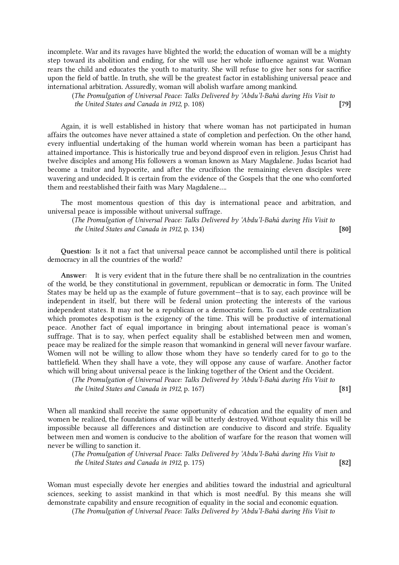incomplete. War and its ravages have blighted the world; the education of woman will be a mighty step toward its abolition and ending, for she will use her whole influence against war. Woman rears the child and educates the youth to maturity. She will refuse to give her sons for sacrifice upon the field of battle. In truth, she will be the greatest factor in establishing universal peace and international arbitration. Assuredly, woman will abolish warfare among mankind.

(The Promulgation of Universal Peace: Talks Delivered by 'Abdu'l-Bahá during His Visit to the United States and Canada in 1912, p. 108) [79]

Again, it is well established in history that where woman has not participated in human affairs the outcomes have never attained a state of completion and perfection. On the other hand, every influential undertaking of the human world wherein woman has been a participant has attained importance. This is historically true and beyond disproof even in religion. Jesus Christ had twelve disciples and among His followers a woman known as Mary Magdalene. Judas Iscariot had become a traitor and hypocrite, and after the crucifixion the remaining eleven disciples were wavering and undecided. It is certain from the evidence of the Gospels that the one who comforted them and reestablished their faith was Mary Magdalene....

The most momentous question of this day is international peace and arbitration, and universal peace is impossible without universal suffrage.

(The Promulgation of Universal Peace: Talks Delivered by 'Abdu'l-Bahá during His Visit to the United States and Canada in 1912, p. 134) [80]

Question: Is it not a fact that universal peace cannot be accomplished until there is political democracy in all the countries of the world?

Answer: It is very evident that in the future there shall be no centralization in the countries of the world, be they constitutional in government, republican or democratic in form. The United States may be held up as the example of future government—that is to say, each province will be independent in itself, but there will be federal union protecting the interests of the various independent states. It may not be a republican or a democratic form. To cast aside centralization which promotes despotism is the exigency of the time. This will be productive of international peace. Another fact of equal importance in bringing about international peace is woman's suffrage. That is to say, when perfect equality shall be established between men and women, peace may be realized for the simple reason that womankind in general will never favour warfare. Women will not be willing to allow those whom they have so tenderly cared for to go to the battlefield. When they shall have a vote, they will oppose any cause of warfare. Another factor which will bring about universal peace is the linking together of the Orient and the Occident.

(The Promulgation of Universal Peace: Talks Delivered by 'Abdu'l-Bahá during His Visit to the United States and Canada in 1912, p. 167) [81]

When all mankind shall receive the same opportunity of education and the equality of men and women be realized, the foundations of war will be utterly destroyed. Without equality this will be impossible because all differences and distinction are conducive to discord and strife. Equality between men and women is conducive to the abolition of warfare for the reason that women will never be willing to sanction it.

(The Promulgation of Universal Peace: Talks Delivered by 'Abdu'l-Bahá during His Visit to the United States and Canada in 1912, p. 175) [82]

Woman must especially devote her energies and abilities toward the industrial and agricultural sciences, seeking to assist mankind in that which is most needful. By this means she will demonstrate capability and ensure recognition of equality in the social and economic equation.

(The Promulgation of Universal Peace: Talks Delivered by 'Abdu'l-Bahá during His Visit to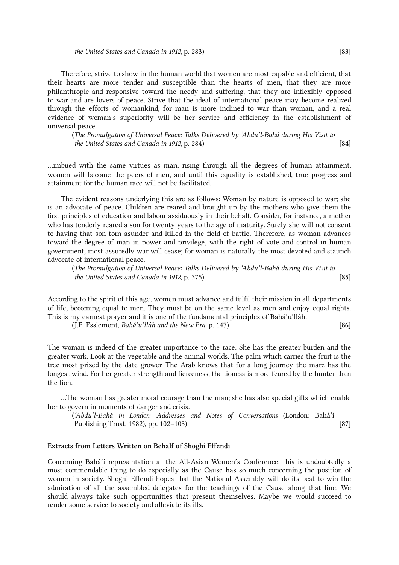the United States and Canada in 1912, p. 283) [83]

Therefore, strive to show in the human world that women are most capable and efficient, that their hearts are more tender and susceptible than the hearts of men, that they are more philanthropic and responsive toward the needy and suffering, that they are inflexibly opposed to war and are lovers of peace. Strive that the ideal of international peace may become realized through the efforts of womankind, for man is more inclined to war than woman, and a real evidence of woman's superiority will be her service and efficiency in the establishment of universal peace.

(The Promulgation of Universal Peace: Talks Delivered by 'Abdu'l-Bahá during His Visit to the United States and Canada in 1912, p. 284) [84]

...imbued with the same virtues as man, rising through all the degrees of human attainment, women will become the peers of men, and until this equality is established, true progress and attainment for the human race will not be facilitated.

The evident reasons underlying this are as follows: Woman by nature is opposed to war; she is an advocate of peace. Children are reared and brought up by the mothers who give them the first principles of education and labour assiduously in their behalf. Consider, for instance, a mother who has tenderly reared a son for twenty years to the age of maturity. Surely she will not consent to having that son torn asunder and killed in the field of battle. Therefore, as woman advances toward the degree of man in power and privilege, with the right of vote and control in human government, most assuredly war will cease; for woman is naturally the most devoted and staunch advocate of international peace.

(The Promulgation of Universal Peace: Talks Delivered by 'Abdu'l-Bahá during His Visit to the United States and Canada in 1912, p. 375) [85]

According to the spirit of this age, women must advance and fulfil their mission in all departments of life, becoming equal to men. They must be on the same level as men and enjoy equal rights. This is my earnest prayer and it is one of the fundamental principles of Bahá'u'lláh.

(J.E. Esslemont, Bahá'u'lláh and the New Era, p. 147) [86]

The woman is indeed of the greater importance to the race. She has the greater burden and the greater work. Look at the vegetable and the animal worlds. The palm which carries the fruit is the tree most prized by the date grower. The Arab knows that for a long journey the mare has the longest wind. For her greater strength and fierceness, the lioness is more feared by the hunter than the lion.

...The woman has greater moral courage than the man; she has also special gifts which enable her to govern in moments of danger and crisis.

('Abdu'l-Bahá in London: Addresses and Notes of Conversations (London: Bahá'í Publishing Trust, 1982), pp. 102–103) [87]

#### Extracts from Letters Written on Behalf of Shoghi Effendi

Concerning Bahá'í representation at the All-Asian Women's Conference: this is undoubtedly a most commendable thing to do especially as the Cause has so much concerning the position of women in society. Shoghi Effendi hopes that the National Assembly will do its best to win the admiration of all the assembled delegates for the teachings of the Cause along that line. We should always take such opportunities that present themselves. Maybe we would succeed to render some service to society and alleviate its ills.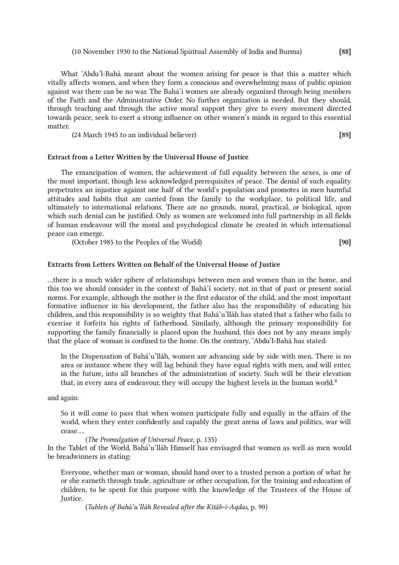#### (10 November 1930 to the National Spiritual Assembly of India and Burma) [88]

What 'Abdu'l-Bahá meant about the women arising for peace is that this a matter which vitally affects women, and when they form a conscious and overwhelming mass of public opinion against war there can be no war. The Bahá'í women are already organized through being members of the Faith and the Administrative Order. No further organization is needed. But they should, through teaching and through the active moral support they give to every movement directed towards peace, seek to exert a strong influence on other women's minds in regard to this essential matter.

(24 March 1945 to an individual believer) [89]

### Extract from a Letter Written by the Universal House of Justice

The emancipation of women, the achievement of full equality between the sexes, is one of the most important, though less acknowledged prerequisites of peace. The denial of such equality perpetrates an injustice against one half of the world's population and promotes in men harmful attitudes and habits that are carried from the family to the workplace, to political life, and ultimately to international relations. There are no grounds, moral, practical, or biological, upon which such denial can be justified. Only as women are welcomed into full partnership in all fields of human endeavour will the moral and psychological climate be created in which international peace can emerge.

(October 1985 to the Peoples of the World) [90]

# Extracts from Letters Written on Behalf of the Universal House of Justice

...there is a much wider sphere of relationships between men and women than in the home, and this too we should consider in the context of Bahá'í society, not in that of past or present social norms. For example, although the mother is the first educator of the child, and the most important formative influence in his development, the father also has the responsibility of educating his children, and this responsibility is so weighty that Bahá'u'lláh has stated that a father who fails to exercise it forfeits his rights of fatherhood. Similarly, although the primary responsibility for supporting the family financially is placed upon the husband, this does not by any means imply that the place of woman is confined to the home. On the contrary, 'Abdu'l-Bahá has stated:

<span id="page-21-0"></span>In the Dispensation of Bahá'u'lláh, women are advancing side by side with men. There is no area or instance where they will lag behind: they have equal rights with men, and will enter, in the future, into all branches of the administration of society. Such will be their elevation that, in every area of endeavour, they will occupy the highest levels in the human world.<sup>[4](#page-30-3)</sup>

and again:

So it will come to pass that when women participate fully and equally in the affairs of the world, when they enter confidently and capably the great arena of laws and politics, war will cease....

(The Promulgation of Universal Peace, p. 135)

In the Tablet of the World, Bahá'u'lláh Himself has envisaged that women as well as men would be breadwinners in stating:

Everyone, whether man or woman, should hand over to a trusted person a portion of what he or she earneth through trade, agriculture or other occupation, for the training and education of children, to be spent for this purpose with the knowledge of the Trustees of the House of Justice.

(Tablets of Bahá'u'lláh Revealed after the Kitáb-i-Aqdas, p. 90)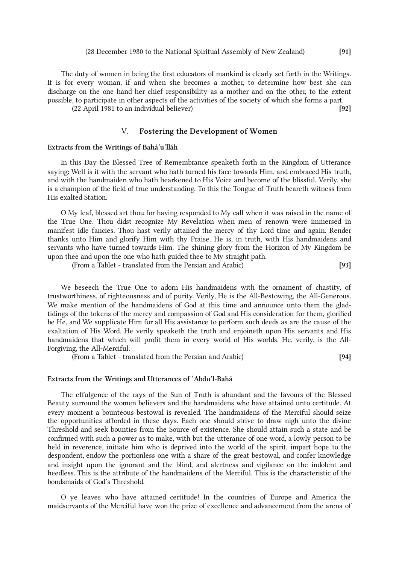#### (28 December 1980 to the National Spiritual Assembly of New Zealand) [91]

The duty of women in being the first educators of mankind is clearly set forth in the Writings. It is for every woman, if and when she becomes a mother, to determine how best she can discharge on the one hand her chief responsibility as a mother and on the other, to the extent possible, to participate in other aspects of the activities of the society of which she forms a part.

(22 April 1981 to an individual believer) [92]

# <span id="page-22-0"></span>V. Fostering the Development of Women

#### Extracts from the Writings of Bahá'u'lláh

In this Day the Blessed Tree of Remembrance speaketh forth in the Kingdom of Utterance saying: Well is it with the servant who hath turned his face towards Him, and embraced His truth, and with the handmaiden who hath hearkened to His Voice and become of the blissful. Verily, she is a champion of the field of true understanding. To this the Tongue of Truth beareth witness from His exalted Station.

O My leaf, blessed art thou for having responded to My call when it was raised in the name of the True One. Thou didst recognize My Revelation when men of renown were immersed in manifest idle fancies. Thou hast verily attained the mercy of thy Lord time and again. Render thanks unto Him and glorify Him with thy Praise. He is, in truth, with His handmaidens and servants who have turned towards Him. The shining glory from the Horizon of My Kingdom be upon thee and upon the one who hath guided thee to My straight path.

(From a Tablet - translated from the Persian and Arabic) [93]

We beseech the True One to adorn His handmaidens with the ornament of chastity, of trustworthiness, of righteousness and of purity. Verily, He is the All-Bestowing, the All-Generous. We make mention of the handmaidens of God at this time and announce unto them the gladtidings of the tokens of the mercy and compassion of God and His consideration for them, glorified be He, and We supplicate Him for all His assistance to perform such deeds as are the cause of the exaltation of His Word. He verily speaketh the truth and enjoineth upon His servants and His handmaidens that which will profit them in every world of His worlds. He, verily, is the All-Forgiving, the All-Merciful.

(From a Tablet - translated from the Persian and Arabic) [94]

# Extracts from the Writings and Utterances of 'Abdu'l-Bahá

The effulgence of the rays of the Sun of Truth is abundant and the favours of the Blessed Beauty surround the women believers and the handmaidens who have attained unto certitude. At every moment a bounteous bestowal is revealed. The handmaidens of the Merciful should seize the opportunities afforded in these days. Each one should strive to draw nigh unto the divine Threshold and seek bounties from the Source of existence. She should attain such a state and be confirmed with such a power as to make, with but the utterance of one word, a lowly person to be held in reverence, initiate him who is deprived into the world of the spirit, impart hope to the despondent, endow the portionless one with a share of the great bestowal, and confer knowledge and insight upon the ignorant and the blind, and alertness and vigilance on the indolent and heedless. This is the attribute of the handmaidens of the Merciful. This is the characteristic of the bondsmaids of God's Threshold.

O ye leaves who have attained certitude! In the countries of Europe and America the maidservants of the Merciful have won the prize of excellence and advancement from the arena of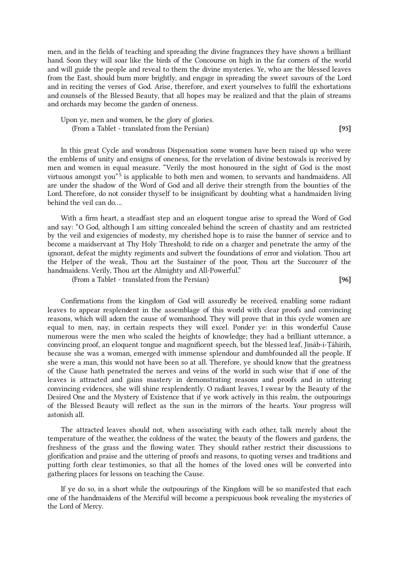men, and in the fields of teaching and spreading the divine fragrances they have shown a brilliant hand. Soon they will soar like the birds of the Concourse on high in the far corners of the world and will guide the people and reveal to them the divine mysteries. Ye, who are the blessed leaves from the East, should burn more brightly, and engage in spreading the sweet savours of the Lord and in reciting the verses of God. Arise, therefore, and exert yourselves to fulfil the exhortations and counsels of the Blessed Beauty, that all hopes may be realized and that the plain of streams and orchards may become the garden of oneness.

| Upon ye, men and women, be the glory of glories. |        |
|--------------------------------------------------|--------|
| (From a Tablet - translated from the Persian)    | $[95]$ |

<span id="page-23-0"></span>In this great Cycle and wondrous Dispensation some women have been raised up who were the emblems of unity and ensigns of oneness, for the revelation of divine bestowals is received by men and women in equal measure. "Verily the most honoured in the sight of God is the most virtuous amongst you"<sup>[5](#page-30-4)</sup> is applicable to both men and women, to servants and handmaidens. All are under the shadow of the Word of God and all derive their strength from the bounties of the Lord. Therefore, do not consider thyself to be insignificant by doubting what a handmaiden living behind the veil can do....

With a firm heart, a steadfast step and an eloquent tongue arise to spread the Word of God and say: "O God, although I am sitting concealed behind the screen of chastity and am restricted by the veil and exigencies of modesty, my cherished hope is to raise the banner of service and to become a maidservant at Thy Holy Threshold; to ride on a charger and penetrate the army of the ignorant, defeat the mighty regiments and subvert the foundations of error and violation. Thou art the Helper of the weak, Thou art the Sustainer of the poor, Thou art the Succourer of the handmaidens. Verily, Thou art the Almighty and All-Powerful."

(From a Tablet - translated from the Persian) [96]

Confirmations from the kingdom of God will assuredly be received, enabling some radiant leaves to appear resplendent in the assemblage of this world with clear proofs and convincing reasons, which will adorn the cause of womanhood. They will prove that in this cycle women are equal to men, nay, in certain respects they will excel. Ponder ye: in this wonderful Cause numerous were the men who scaled the heights of knowledge; they had a brilliant utterance, a convincing proof, an eloquent tongue and magnificent speech, but the blessed leaf, Jináb-i-Ṭáhirih, because she was a woman, emerged with immense splendour and dumbfounded all the people. If she were a man, this would not have been so at all. Therefore, ye should know that the greatness of the Cause hath penetrated the nerves and veins of the world in such wise that if one of the leaves is attracted and gains mastery in demonstrating reasons and proofs and in uttering convincing evidences, she will shine resplendently. O radiant leaves, I swear by the Beauty of the Desired One and the Mystery of Existence that if ye work actively in this realm, the outpourings of the Blessed Beauty will reflect as the sun in the mirrors of the hearts. Your progress will astonish all.

The attracted leaves should not, when associating with each other, talk merely about the temperature of the weather, the coldness of the water, the beauty of the flowers and gardens, the freshness of the grass and the flowing water. They should rather restrict their discussions to glorification and praise and the uttering of proofs and reasons, to quoting verses and traditions and putting forth clear testimonies, so that all the homes of the loved ones will be converted into gathering places for lessons on teaching the Cause.

If ye do so, in a short while the outpourings of the Kingdom will be so manifested that each one of the handmaidens of the Merciful will become a perspicuous book revealing the mysteries of the Lord of Mercy.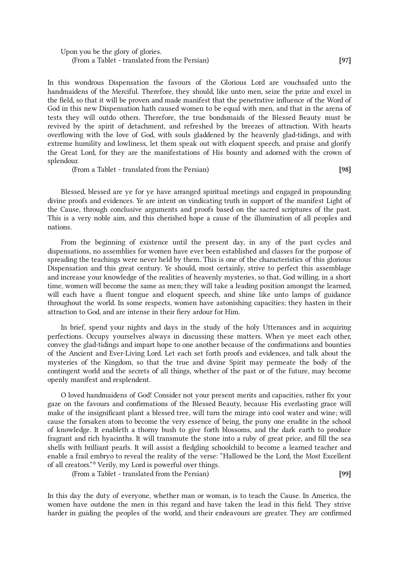### Upon you be the glory of glories. (From a Tablet - translated from the Persian) [97]

In this wondrous Dispensation the favours of the Glorious Lord are vouchsafed unto the handmaidens of the Merciful. Therefore, they should, like unto men, seize the prize and excel in the field, so that it will be proven and made manifest that the penetrative influence of the Word of God in this new Dispensation hath caused women to be equal with men, and that in the arena of tests they will outdo others. Therefore, the true bondsmaids of the Blessed Beauty must be revived by the spirit of detachment, and refreshed by the breezes of attraction. With hearts overflowing with the love of God, with souls gladdened by the heavenly glad-tidings, and with extreme humility and lowliness, let them speak out with eloquent speech, and praise and glorify the Great Lord, for they are the manifestations of His bounty and adorned with the crown of splendour.

(From a Tablet - translated from the Persian) [98]

Blessed, blessed are ye for ye have arranged spiritual meetings and engaged in propounding divine proofs and evidences. Ye are intent on vindicating truth in support of the manifest Light of the Cause, through conclusive arguments and proofs based on the sacred scriptures of the past. This is a very noble aim, and this cherished hope a cause of the illumination of all peoples and nations.

From the beginning of existence until the present day, in any of the past cycles and dispensations, no assemblies for women have ever been established and classes for the purpose of spreading the teachings were never held by them. This is one of the characteristics of this glorious Dispensation and this great century. Ye should, most certainly, strive to perfect this assemblage and increase your knowledge of the realities of heavenly mysteries, so that, God willing, in a short time, women will become the same as men; they will take a leading position amongst the learned, will each have a fluent tongue and eloquent speech, and shine like unto lamps of guidance throughout the world. In some respects, women have astonishing capacities; they hasten in their attraction to God, and are intense in their fiery ardour for Him.

In brief, spend your nights and days in the study of the holy Utterances and in acquiring perfections. Occupy yourselves always in discussing these matters. When ye meet each other, convey the glad-tidings and impart hope to one another because of the confirmations and bounties of the Ancient and Ever-Living Lord. Let each set forth proofs and evidences, and talk about the mysteries of the Kingdom, so that the true and divine Spirit may permeate the body of the contingent world and the secrets of all things, whether of the past or of the future, may become openly manifest and resplendent.

<span id="page-24-0"></span>O loved handmaidens of God! Consider not your present merits and capacities, rather fix your gaze on the favours and confirmations of the Blessed Beauty, because His everlasting grace will make of the insignificant plant a blessed tree, will turn the mirage into cool water and wine; will cause the forsaken atom to become the very essence of being, the puny one erudite in the school of knowledge. It enableth a thorny bush to give forth blossoms, and the dark earth to produce fragrant and rich hyacinths. It will transmute the stone into a ruby of great price, and fill the sea shells with brilliant pearls. It will assist a fledgling schoolchild to become a learned teacher and enable a frail embryo to reveal the reality of the verse: "Hallowed be the Lord, the Most Excellent of all creators." [6](#page-30-5) Verily, my Lord is powerful over things.

(From a Tablet - translated from the Persian) [99]

In this day the duty of everyone, whether man or woman, is to teach the Cause. In America, the women have outdone the men in this regard and have taken the lead in this field. They strive harder in guiding the peoples of the world, and their endeavours are greater. They are confirmed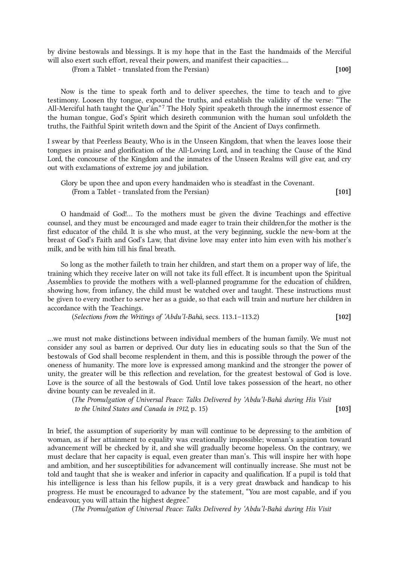by divine bestowals and blessings. It is my hope that in the East the handmaids of the Merciful will also exert such effort, reveal their powers, and manifest their capacities....

(From a Tablet - translated from the Persian) [100]

<span id="page-25-0"></span>Now is the time to speak forth and to deliver speeches, the time to teach and to give testimony. Loosen thy tongue, expound the truths, and establish the validity of the verse: "The All-Merciful hath taught the Qur'án."<sup>[7](#page-30-6)</sup> The Holy Spirit speaketh through the innermost essence of the human tongue, God's Spirit which desireth communion with the human soul unfoldeth the truths, the Faithful Spirit writeth down and the Spirit of the Ancient of Days confirmeth.

I swear by that Peerless Beauty, Who is in the Unseen Kingdom, that when the leaves loose their tongues in praise and glorification of the All-Loving Lord, and in teaching the Cause of the Kind Lord, the concourse of the Kingdom and the inmates of the Unseen Realms will give ear, and cry out with exclamations of extreme joy and jubilation.

Glory be upon thee and upon every handmaiden who is steadfast in the Covenant. (From a Tablet - translated from the Persian) [101]

O handmaid of God!... To the mothers must be given the divine Teachings and effective counsel, and they must be encouraged and made eager to train their children,for the mother is the first educator of the child. It is she who must, at the very beginning, suckle the new-born at the breast of God's Faith and God's Law, that divine love may enter into him even with his mother's milk, and be with him till his final breath.

So long as the mother faileth to train her children, and start them on a proper way of life, the training which they receive later on will not take its full effect. It is incumbent upon the Spiritual Assemblies to provide the mothers with a well-planned programme for the education of children, showing how, from infancy, the child must be watched over and taught. These instructions must be given to every mother to serve her as a guide, so that each will train and nurture her children in accordance with the Teachings.

(Selections from the Writings of 'Abdu'l-Bahá, secs. 113.1–113.2) [102]

...we must not make distinctions between individual members of the human family. We must not consider any soul as barren or deprived. Our duty lies in educating souls so that the Sun of the bestowals of God shall become resplendent in them, and this is possible through the power of the oneness of humanity. The more love is expressed among mankind and the stronger the power of unity, the greater will be this reflection and revelation, for the greatest bestowal of God is love. Love is the source of all the bestowals of God. Until love takes possession of the heart, no other divine bounty can be revealed in it.

(The Promulgation of Universal Peace: Talks Delivered by 'Abdu'l-Bahá during His Visit to the United States and Canada in 1912, p.  $15$ ) [103]

In brief, the assumption of superiority by man will continue to be depressing to the ambition of woman, as if her attainment to equality was creationally impossible; woman's aspiration toward advancement will be checked by it, and she will gradually become hopeless. On the contrary, we must declare that her capacity is equal, even greater than man's. This will inspire her with hope and ambition, and her susceptibilities for advancement will continually increase. She must not be told and taught that she is weaker and inferior in capacity and qualification. If a pupil is told that his intelligence is less than his fellow pupils, it is a very great drawback and handicap to his progress. He must be encouraged to advance by the statement, "You are most capable, and if you endeavour, you will attain the highest degree."

(The Promulgation of Universal Peace: Talks Delivered by 'Abdu'l-Bahá during His Visit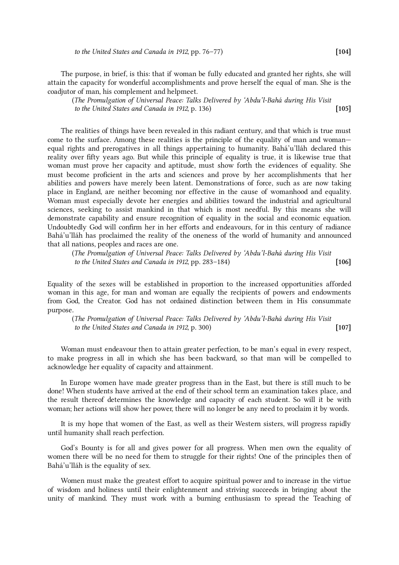The purpose, in brief, is this: that if woman be fully educated and granted her rights, she will attain the capacity for wonderful accomplishments and prove herself the equal of man. She is the coadjutor of man, his complement and helpmeet.

(The Promulgation of Universal Peace: Talks Delivered by 'Abdu'l-Bahá during His Visit to the United States and Canada in  $1912$ , p. 136) [105]

The realities of things have been revealed in this radiant century, and that which is true must come to the surface. Among these realities is the principle of the equality of man and woman equal rights and prerogatives in all things appertaining to humanity. Bahá'u'lláh declared this reality over fifty years ago. But while this principle of equality is true, it is likewise true that woman must prove her capacity and aptitude, must show forth the evidences of equality. She must become proficient in the arts and sciences and prove by her accomplishments that her abilities and powers have merely been latent. Demonstrations of force, such as are now taking place in England, are neither becoming nor effective in the cause of womanhood and equality. Woman must especially devote her energies and abilities toward the industrial and agricultural sciences, seeking to assist mankind in that which is most needful. By this means she will demonstrate capability and ensure recognition of equality in the social and economic equation. Undoubtedly God will confirm her in her efforts and endeavours, for in this century of radiance Bahá'u'lláh has proclaimed the reality of the oneness of the world of humanity and announced that all nations, peoples and races are one.

(The Promulgation of Universal Peace: Talks Delivered by 'Abdu'l-Bahá during His Visit to the United States and Canada in  $1912$ , pp.  $283-184$ ) [106]

Equality of the sexes will be established in proportion to the increased opportunities afforded woman in this age, for man and woman are equally the recipients of powers and endowments from God, the Creator. God has not ordained distinction between them in His consummate purpose.

(The Promulgation of Universal Peace: Talks Delivered by 'Abdu'l-Bahá during His Visit to the United States and Canada in  $1912$ , p. 300) [107]

Woman must endeavour then to attain greater perfection, to be man's equal in every respect, to make progress in all in which she has been backward, so that man will be compelled to acknowledge her equality of capacity and attainment.

In Europe women have made greater progress than in the East, but there is still much to be done! When students have arrived at the end of their school term an examination takes place, and the result thereof determines the knowledge and capacity of each student. So will it be with woman; her actions will show her power, there will no longer be any need to proclaim it by words.

It is my hope that women of the East, as well as their Western sisters, will progress rapidly until humanity shall reach perfection.

God's Bounty is for all and gives power for all progress. When men own the equality of women there will be no need for them to struggle for their rights! One of the principles then of Bahá'u'lláh is the equality of sex.

Women must make the greatest effort to acquire spiritual power and to increase in the virtue of wisdom and holiness until their enlightenment and striving succeeds in bringing about the unity of mankind. They must work with a burning enthusiasm to spread the Teaching of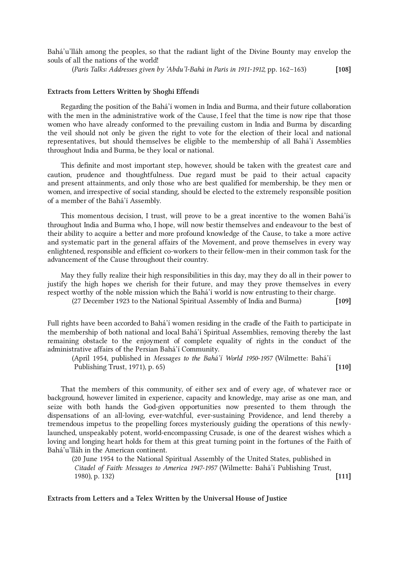Bahá'u'lláh among the peoples, so that the radiant light of the Divine Bounty may envelop the souls of all the nations of the world!

(Paris Talks: Addresses given by 'Abdu'l-Bahá in Paris in 1911-1912, pp. 162–163) [108]

### Extracts from Letters Written by Shoghi Effendi

Regarding the position of the Bahá'í women in India and Burma, and their future collaboration with the men in the administrative work of the Cause, I feel that the time is now ripe that those women who have already conformed to the prevailing custom in India and Burma by discarding the veil should not only be given the right to vote for the election of their local and national representatives, but should themselves be eligible to the membership of all Bahá'í Assemblies throughout India and Burma, be they local or national.

This definite and most important step, however, should be taken with the greatest care and caution, prudence and thoughtfulness. Due regard must be paid to their actual capacity and present attainments, and only those who are best qualified for membership, be they men or women, and irrespective of social standing, should be elected to the extremely responsible position of a member of the Bahá'í Assembly.

This momentous decision, I trust, will prove to be a great incentive to the women Bahá'ís throughout India and Burma who, I hope, will now bestir themselves and endeavour to the best of their ability to acquire a better and more profound knowledge of the Cause, to take a more active and systematic part in the general affairs of the Movement, and prove themselves in every way enlightened, responsible and efficient co-workers to their fellow-men in their common task for the advancement of the Cause throughout their country.

May they fully realize their high responsibilities in this day, may they do all in their power to justify the high hopes we cherish for their future, and may they prove themselves in every respect worthy of the noble mission which the Bahá'í world is now entrusting to their charge.

(27 December 1923 to the National Spiritual Assembly of India and Burma) [109]

Full rights have been accorded to Bahá'í women residing in the cradle of the Faith to participate in the membership of both national and local Bahá'í Spiritual Assemblies, removing thereby the last remaining obstacle to the enjoyment of complete equality of rights in the conduct of the administrative affairs of the Persian Bahá'í Community.

(April 1954, published in Messages to the Bahá'í World 1950-1957 (Wilmette: Bahá'í Publishing Trust, 1971), p. 65) [110]

That the members of this community, of either sex and of every age, of whatever race or background, however limited in experience, capacity and knowledge, may arise as one man, and seize with both hands the God-given opportunities now presented to them through the dispensations of an all-loving, ever-watchful, ever-sustaining Providence, and lend thereby a tremendous impetus to the propelling forces mysteriously guiding the operations of this newlylaunched, unspeakably potent, world-encompassing Crusade, is one of the dearest wishes which a loving and longing heart holds for them at this great turning point in the fortunes of the Faith of Bahá'u'lláh in the American continent.

(20 June 1954 to the National Spiritual Assembly of the United States, published in Citadel of Faith: Messages to America 1947-1957 (Wilmette: Bahá'í Publishing Trust, 1980), p. 132) [111]

Extracts from Letters and a Telex Written by the Universal House of Justice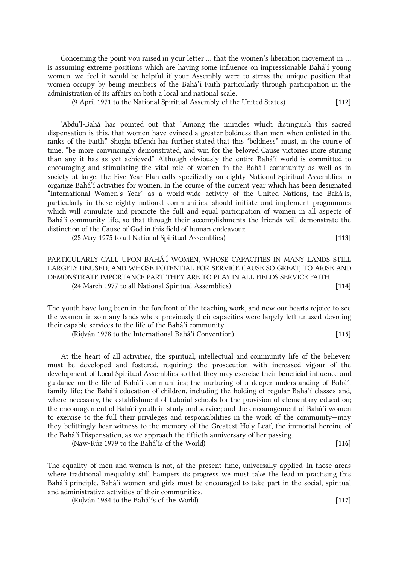Concerning the point you raised in your letter ... that the women's liberation movement in ... is assuming extreme positions which are having some influence on impressionable Bahá'í young women, we feel it would be helpful if your Assembly were to stress the unique position that women occupy by being members of the Bahá'í Faith particularly through participation in the administration of its affairs on both a local and national scale.

(9 April 1971 to the National Spiritual Assembly of the United States) [112]

'Abdu'l-Bahá has pointed out that "Among the miracles which distinguish this sacred dispensation is this, that women have evinced a greater boldness than men when enlisted in the ranks of the Faith." Shoghi Effendi has further stated that this "boldness" must, in the course of time, "be more convincingly demonstrated, and win for the beloved Cause victories more stirring than any it has as yet achieved." Although obviously the entire Bahá'í world is committed to encouraging and stimulating the vital role of women in the Bahá'í community as well as in society at large, the Five Year Plan calls specifically on eighty National Spiritual Assemblies to organize Bahá'í activities for women. In the course of the current year which has been designated "International Women's Year" as a world-wide activity of the United Nations, the Bahá'ís, particularly in these eighty national communities, should initiate and implement programmes which will stimulate and promote the full and equal participation of women in all aspects of Bahá'í community life, so that through their accomplishments the friends will demonstrate the distinction of the Cause of God in this field of human endeavour.

(25 May 1975 to all National Spiritual Assemblies) [113]

PARTICULARLY CALL UPON BAHÁ'Í WOMEN, WHOSE CAPACITIES IN MANY LANDS STILL LARGELY UNUSED, AND WHOSE POTENTIAL FOR SERVICE CAUSE SO GREAT, TO ARISE AND DEMONSTRATE IMPORTANCE PART THEY ARE TO PLAY IN ALL FIELDS SERVICE FAITH. (24 March 1977 to all National Spiritual Assemblies) [114]

The youth have long been in the forefront of the teaching work, and now our hearts rejoice to see the women, in so many lands where previously their capacities were largely left unused, devoting their capable services to the life of the Bahá'í community.

(Riḍván 1978 to the International Bahá'í Convention) [115]

At the heart of all activities, the spiritual, intellectual and community life of the believers must be developed and fostered, requiring: the prosecution with increased vigour of the development of Local Spiritual Assemblies so that they may exercise their beneficial influence and guidance on the life of Bahá'í communities; the nurturing of a deeper understanding of Bahá'í family life; the Bahá'í education of children, including the holding of regular Bahá'í classes and, where necessary, the establishment of tutorial schools for the provision of elementary education; the encouragement of Bahá'í youth in study and service; and the encouragement of Bahá'í women to exercise to the full their privileges and responsibilities in the work of the community—may they befittingly bear witness to the memory of the Greatest Holy Leaf, the immortal heroine of the Bahá'í Dispensation, as we approach the fiftieth anniversary of her passing.

(Naw-Rúz 1979 to the Bahá'ís of the World) [116]

The equality of men and women is not, at the present time, universally applied. In those areas where traditional inequality still hampers its progress we must take the lead in practising this Bahá'í principle. Bahá'í women and girls must be encouraged to take part in the social, spiritual and administrative activities of their communities.

(Riḍván 1984 to the Bahá'ís of the World) [117]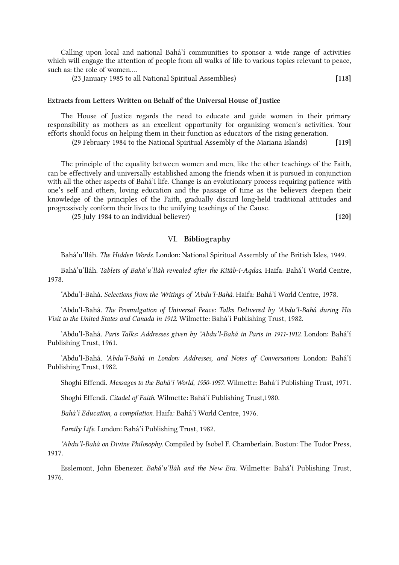Calling upon local and national Bahá'í communities to sponsor a wide range of activities which will engage the attention of people from all walks of life to various topics relevant to peace, such as: the role of women....

(23 January 1985 to all National Spiritual Assemblies) [118]

### Extracts from Letters Written on Behalf of the Universal House of Justice

The House of Justice regards the need to educate and guide women in their primary responsibility as mothers as an excellent opportunity for organizing women's activities. Your efforts should focus on helping them in their function as educators of the rising generation.

(29 February 1984 to the National Spiritual Assembly of the Mariana Islands) [119]

The principle of the equality between women and men, like the other teachings of the Faith, can be effectively and universally established among the friends when it is pursued in conjunction with all the other aspects of Bahá'í life. Change is an evolutionary process requiring patience with one's self and others, loving education and the passage of time as the believers deepen their knowledge of the principles of the Faith, gradually discard long-held traditional attitudes and progressively conform their lives to the unifying teachings of the Cause.

(25 July 1984 to an individual believer) [120]

# <span id="page-29-0"></span>VI. Bibliography

Bahá'u'lláh. The Hidden Words. London: National Spiritual Assembly of the British Isles, 1949.

Bahá'u'lláh. Tablets of Bahá'u'lláh revealed after the Kitáb-i-Aqdas. Haifa: Bahá'í World Centre, 1978.

'Abdu'l-Bahá. Selections from the Writings of 'Abdu'l-Bahá. Haifa: Bahá'í World Centre, 1978.

'Abdu'l-Bahá. The Promulgation of Universal Peace: Talks Delivered by 'Abdu'l-Bahá during His Visit to the United States and Canada in 1912. Wilmette: Bahá'í Publishing Trust, 1982.

'Abdu'l-Bahá. Paris Talks: Addresses given by 'Abdu'l-Bahá in Paris in 1911-1912. London: Bahá'í Publishing Trust, 1961.

'Abdu'l-Bahá. 'Abdu'l-Bahá in London: Addresses, and Notes of Conversations London: Bahá'í Publishing Trust, 1982.

Shoghi Effendi. Messages to the Bahá'í World, 1950-1957. Wilmette: Bahá'í Publishing Trust, 1971.

Shoghi Effendi. Citadel of Faith. Wilmette: Bahá'í Publishing Trust,1980.

Bahá'í Education, a compilation. Haifa: Bahá'í World Centre, 1976.

Family Life. London: Bahá'í Publishing Trust, 1982.

'Abdu'l-Bahá on Divine Philosophy. Compiled by Isobel F. Chamberlain. Boston: The Tudor Press, 1917.

Esslemont, John Ebenezer. Bahá'u'lláh and the New Era. Wilmette: Bahá'í Publishing Trust, 1976.